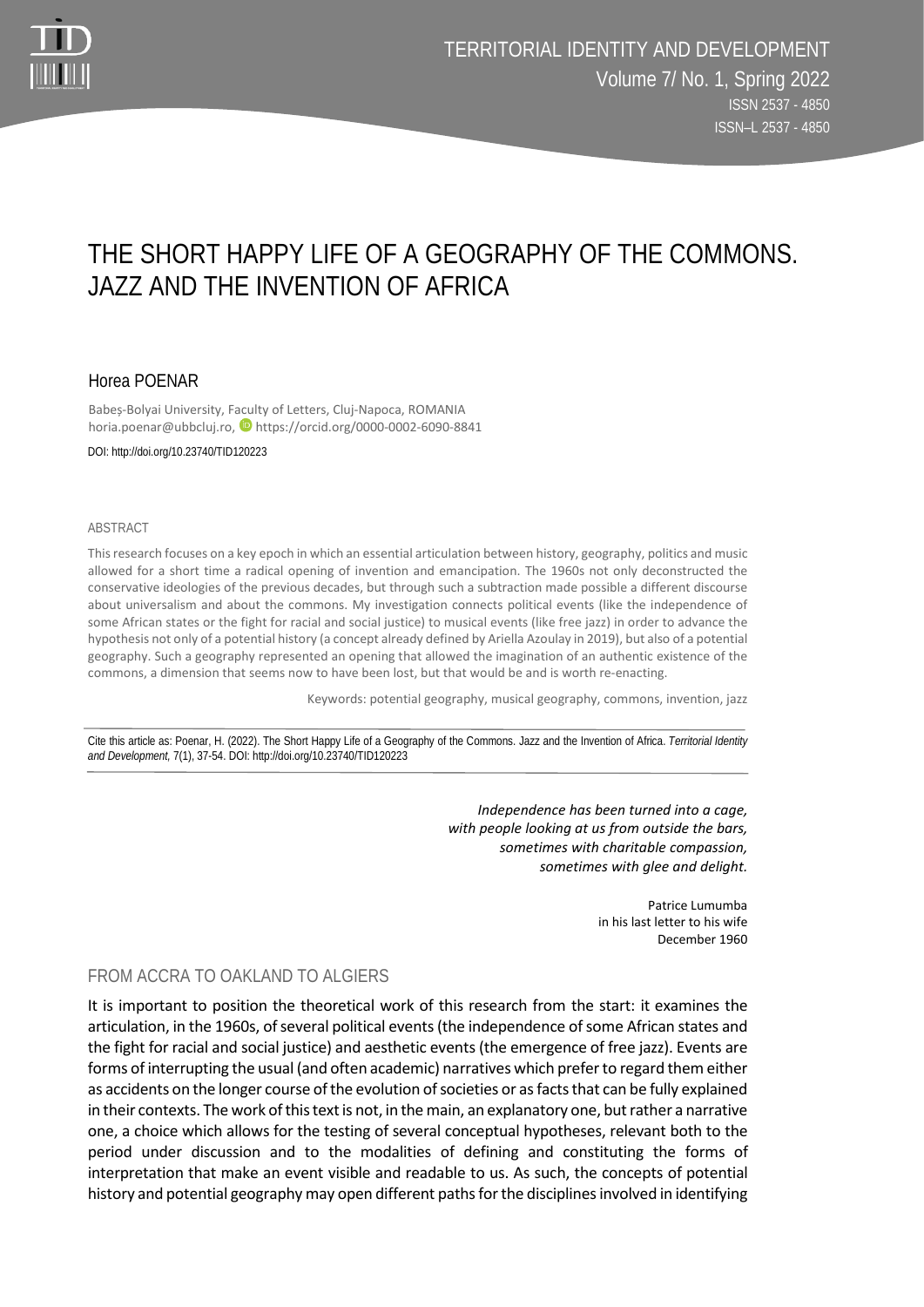

# THE SHORT HAPPY LIFE OF A GEOGRAPHY OF THE COMMONS. JAZZ AND THE INVENTION OF AFRICA

## Horea POENAR

Babeș-Bolyai University, Faculty of Letters, Cluj-Napoca, ROMANIA horia.poenar@ubbcluj.ro, https://orcid.org/0000-0002-6090-8841

DOI: http://doi.org/10.23740/TID120223

#### ABSTRACT

This research focuses on a key epoch in which an essential articulation between history, geography, politics and music allowed for a short time a radical opening of invention and emancipation. The 1960s not only deconstructed the conservative ideologies of the previous decades, but through such a subtraction made possible a different discourse about universalism and about the commons. My investigation connects political events (like the independence of some African states or the fight for racial and social justice) to musical events (like free jazz) in order to advance the hypothesis not only of a potential history (a concept already defined by Ariella Azoulay in 2019), but also of a potential geography. Such a geography represented an opening that allowed the imagination of an authentic existence of the commons, a dimension that seems now to have been lost, but that would be and is worth re-enacting.

Keywords: potential geography, musical geography, commons, invention, jazz

Cite this article as: Poenar, H. (2022). The Short Happy Life of a Geography of the Commons. Jazz and the Invention of Africa. *Territorial Identity and Development,* 7(1), 37-54. DOI: http://doi.org/10.23740/TID120223

> *Independence has been turned into a cage, with people looking at us from outside the bars, sometimes with charitable compassion, sometimes with glee and delight.*

> > Patrice Lumumba in his last letter to his wife December 1960

### FROM ACCRA TO OAKLAND TO ALGIERS

It is important to position the theoretical work of this research from the start: it examines the articulation, in the 1960s, of several political events (the independence of some African states and the fight for racial and social justice) and aesthetic events (the emergence of free jazz). Events are forms of interrupting the usual (and often academic) narratives which prefer to regard them either as accidents on the longer course of the evolution of societies or as facts that can be fully explained in their contexts. The work of this text is not, in the main, an explanatory one, but rather a narrative one, a choice which allows for the testing of several conceptual hypotheses, relevant both to the period under discussion and to the modalities of defining and constituting the forms of interpretation that make an event visible and readable to us. As such, the concepts of potential history and potential geography may open different paths for the disciplines involved in identifying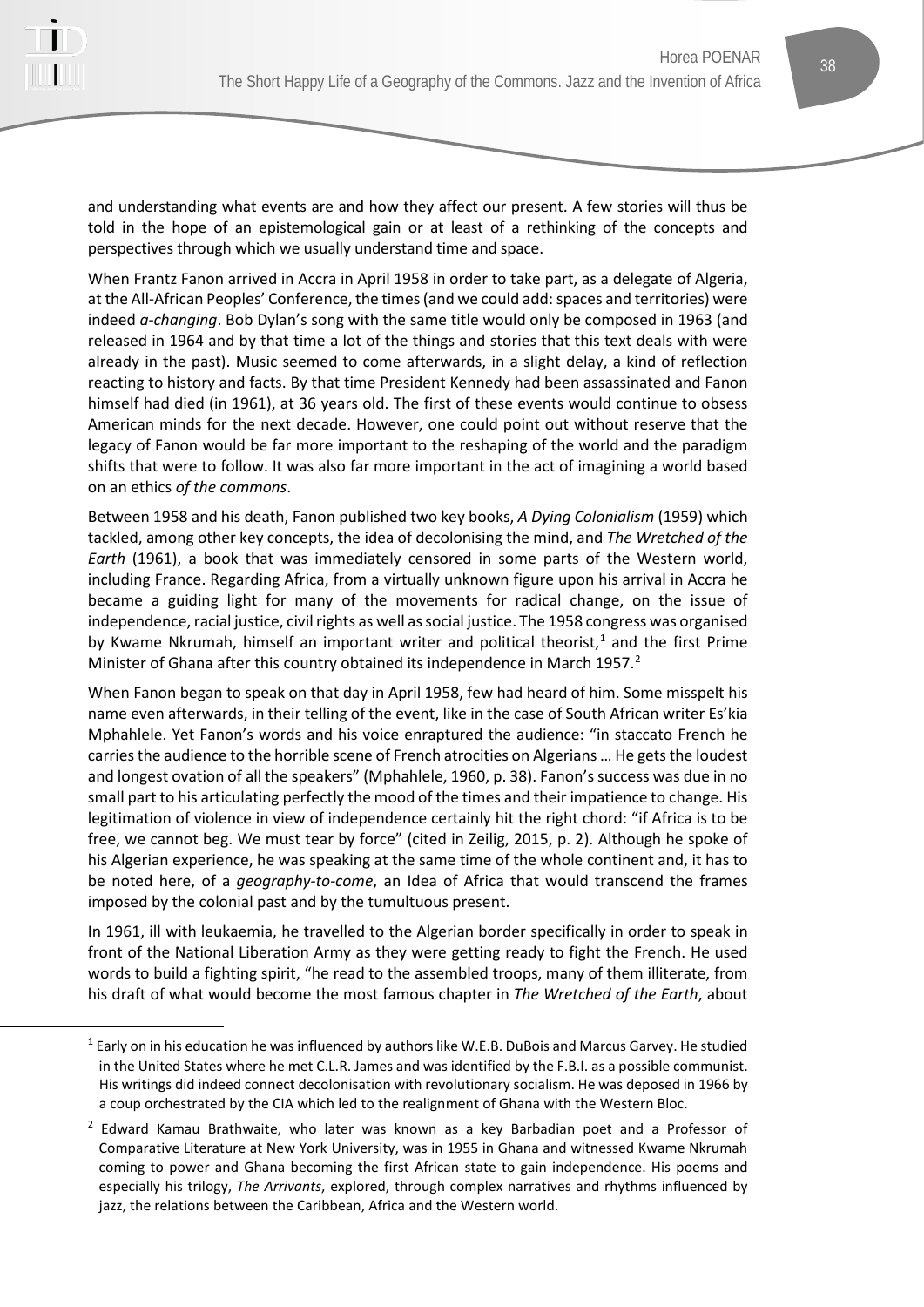

and understanding what events are and how they affect our present. A few stories will thus be told in the hope of an epistemological gain or at least of a rethinking of the concepts and perspectives through which we usually understand time and space.

When Frantz Fanon arrived in Accra in April 1958 in order to take part, as a delegate of Algeria, at the All-African Peoples' Conference, the times (and we could add: spaces and territories) were indeed *a-changing*. Bob Dylan's song with the same title would only be composed in 1963 (and released in 1964 and by that time a lot of the things and stories that this text deals with were already in the past). Music seemed to come afterwards, in a slight delay, a kind of reflection reacting to history and facts. By that time President Kennedy had been assassinated and Fanon himself had died (in 1961), at 36 years old. The first of these events would continue to obsess American minds for the next decade. However, one could point out without reserve that the legacy of Fanon would be far more important to the reshaping of the world and the paradigm shifts that were to follow. It was also far more important in the act of imagining a world based on an ethics *of the commons*.

Between 1958 and his death, Fanon published two key books, *A Dying Colonialism* (1959) which tackled, among other key concepts, the idea of decolonising the mind, and *The Wretched of the Earth* (1961), a book that was immediately censored in some parts of the Western world, including France. Regarding Africa, from a virtually unknown figure upon his arrival in Accra he became a guiding light for many of the movements for radical change, on the issue of independence, racial justice, civil rights as well as social justice. The 1958 congress was organised by Kwame Nkrumah, himself an important writer and political theorist, $1$  and the first Prime Minister of Ghana after this country obtained its independence in March 1957.<sup>[2](#page-1-1)</sup>

When Fanon began to speak on that day in April 1958, few had heard of him. Some misspelt his name even afterwards, in their telling of the event, like in the case of South African writer Es'kia Mphahlele. Yet Fanon's words and his voice enraptured the audience: "in staccato French he carries the audience to the horrible scene of French atrocities on Algerians … He gets the loudest and longest ovation of all the speakers" (Mphahlele, 1960, p. 38). Fanon's success was due in no small part to his articulating perfectly the mood of the times and their impatience to change. His legitimation of violence in view of independence certainly hit the right chord: "if Africa is to be free, we cannot beg. We must tear by force" (cited in Zeilig, 2015, p. 2). Although he spoke of his Algerian experience, he was speaking at the same time of the whole continent and, it has to be noted here, of a *geography-to-come*, an Idea of Africa that would transcend the frames imposed by the colonial past and by the tumultuous present.

In 1961, ill with leukaemia, he travelled to the Algerian border specifically in order to speak in front of the National Liberation Army as they were getting ready to fight the French. He used words to build a fighting spirit, "he read to the assembled troops, many of them illiterate, from his draft of what would become the most famous chapter in *The Wretched of the Earth*, about

<span id="page-1-0"></span> $1$  Early on in his education he was influenced by authors like W.E.B. DuBois and Marcus Garvey. He studied in the United States where he met C.L.R. James and was identified by the F.B.I. as a possible communist. His writings did indeed connect decolonisation with revolutionary socialism. He was deposed in 1966 by a coup orchestrated by the CIA which led to the realignment of Ghana with the Western Bloc.

<span id="page-1-1"></span><sup>&</sup>lt;sup>2</sup> Edward Kamau Brathwaite, who later was known as a key Barbadian poet and a Professor of Comparative Literature at New York University, was in 1955 in Ghana and witnessed Kwame Nkrumah coming to power and Ghana becoming the first African state to gain independence. His poems and especially his trilogy, *The Arrivants*, explored, through complex narratives and rhythms influenced by jazz, the relations between the Caribbean, Africa and the Western world.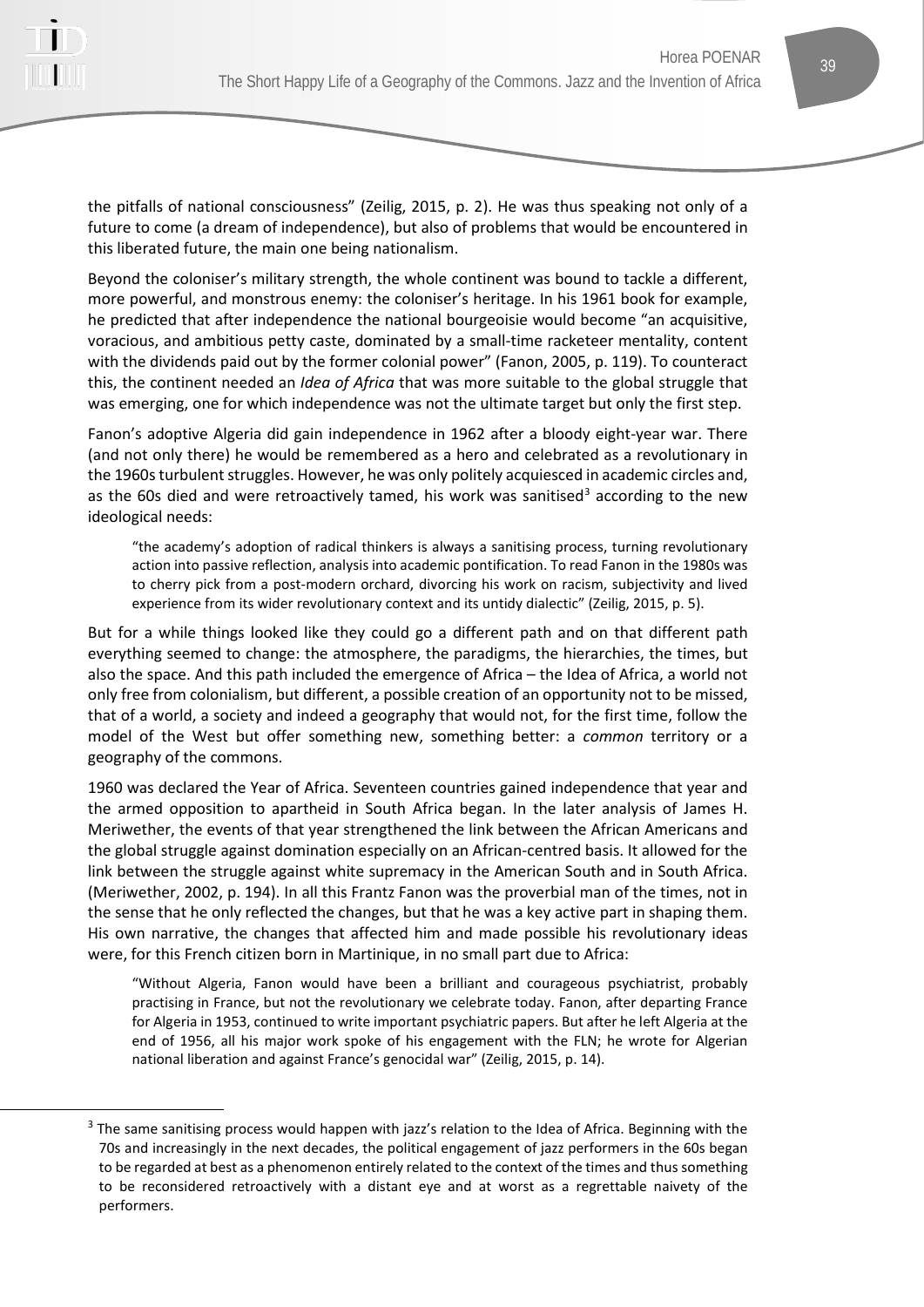

the pitfalls of national consciousness" (Zeilig, 2015, p. 2). He was thus speaking not only of a future to come (a dream of independence), but also of problems that would be encountered in this liberated future, the main one being nationalism.

Beyond the coloniser's military strength, the whole continent was bound to tackle a different, more powerful, and monstrous enemy: the coloniser's heritage. In his 1961 book for example, he predicted that after independence the national bourgeoisie would become "an acquisitive, voracious, and ambitious petty caste, dominated by a small-time racketeer mentality, content with the dividends paid out by the former colonial power" (Fanon, 2005, p. 119). To counteract this, the continent needed an *Idea of Africa* that was more suitable to the global struggle that was emerging, one for which independence was not the ultimate target but only the first step.

Fanon's adoptive Algeria did gain independence in 1962 after a bloody eight-year war. There (and not only there) he would be remembered as a hero and celebrated as a revolutionary in the 1960s turbulent struggles. However, he was only politely acquiesced in academic circles and, as the 60s died and were retroactively tamed, his work was sanitised<sup>[3](#page-2-0)</sup> according to the new ideological needs:

"the academy's adoption of radical thinkers is always a sanitising process, turning revolutionary action into passive reflection, analysis into academic pontification. To read Fanon in the 1980s was to cherry pick from a post-modern orchard, divorcing his work on racism, subjectivity and lived experience from its wider revolutionary context and its untidy dialectic" (Zeilig, 2015, p. 5).

But for a while things looked like they could go a different path and on that different path everything seemed to change: the atmosphere, the paradigms, the hierarchies, the times, but also the space. And this path included the emergence of Africa – the Idea of Africa, a world not only free from colonialism, but different, a possible creation of an opportunity not to be missed, that of a world, a society and indeed a geography that would not, for the first time, follow the model of the West but offer something new, something better: a *common* territory or a geography of the commons.

1960 was declared the Year of Africa. Seventeen countries gained independence that year and the armed opposition to apartheid in South Africa began. In the later analysis of James H. Meriwether, the events of that year strengthened the link between the African Americans and the global struggle against domination especially on an African-centred basis. It allowed for the link between the struggle against white supremacy in the American South and in South Africa. (Meriwether, 2002, p. 194). In all this Frantz Fanon was the proverbial man of the times, not in the sense that he only reflected the changes, but that he was a key active part in shaping them. His own narrative, the changes that affected him and made possible his revolutionary ideas were, for this French citizen born in Martinique, in no small part due to Africa:

"Without Algeria, Fanon would have been a brilliant and courageous psychiatrist, probably practising in France, but not the revolutionary we celebrate today. Fanon, after departing France for Algeria in 1953, continued to write important psychiatric papers. But after he left Algeria at the end of 1956, all his major work spoke of his engagement with the FLN; he wrote for Algerian national liberation and against France's genocidal war" (Zeilig, 2015, p. 14).

<span id="page-2-0"></span><sup>&</sup>lt;sup>3</sup> The same sanitising process would happen with jazz's relation to the Idea of Africa. Beginning with the 70s and increasingly in the next decades, the political engagement of jazz performers in the 60s began to be regarded at best as a phenomenon entirely related to the context of the times and thus something to be reconsidered retroactively with a distant eye and at worst as a regrettable naivety of the performers.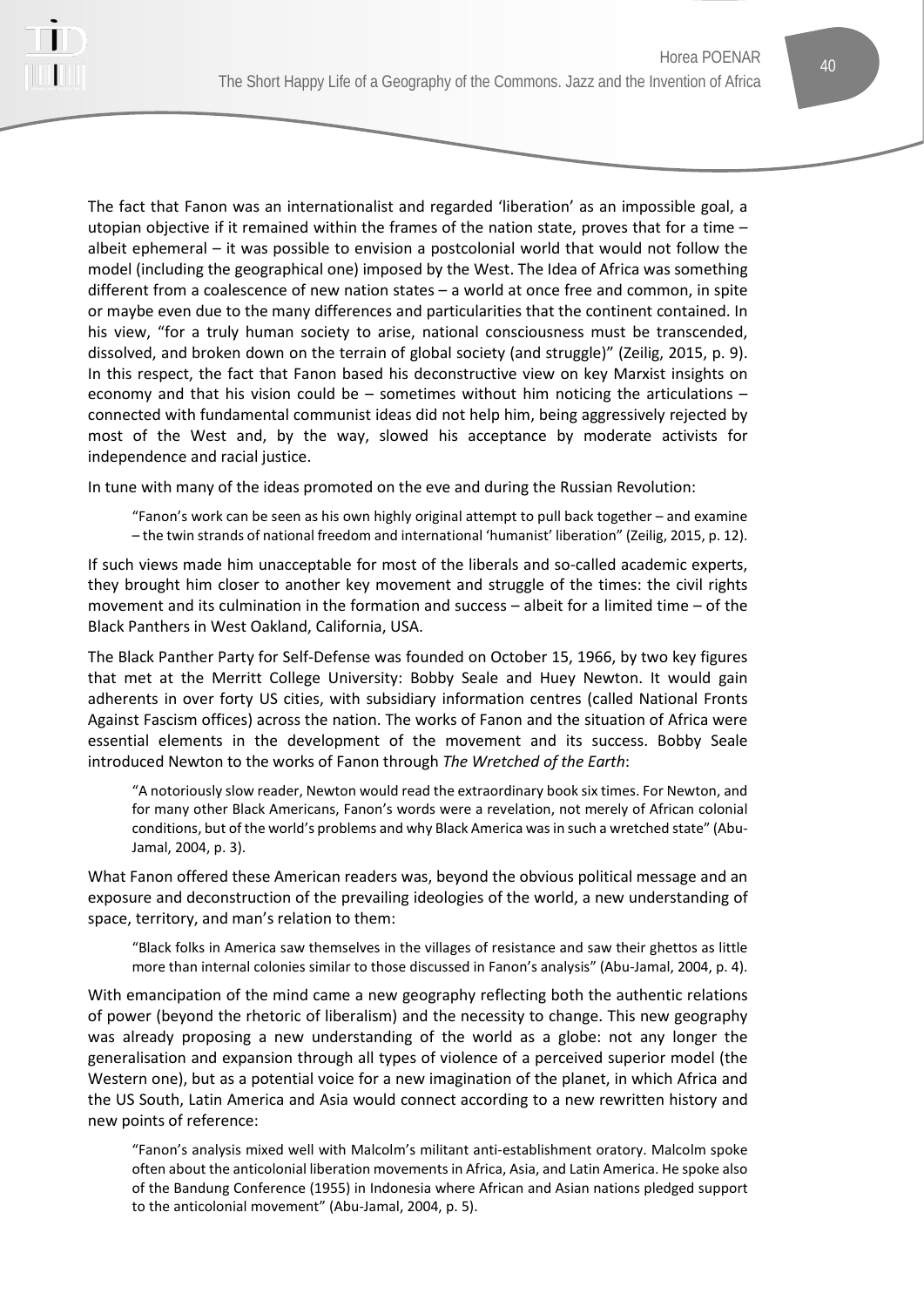

The fact that Fanon was an internationalist and regarded 'liberation' as an impossible goal, a utopian objective if it remained within the frames of the nation state, proves that for a time – albeit ephemeral – it was possible to envision a postcolonial world that would not follow the model (including the geographical one) imposed by the West. The Idea of Africa was something different from a coalescence of new nation states – a world at once free and common, in spite or maybe even due to the many differences and particularities that the continent contained. In his view, "for a truly human society to arise, national consciousness must be transcended, dissolved, and broken down on the terrain of global society (and struggle)" (Zeilig, 2015, p. 9). In this respect, the fact that Fanon based his deconstructive view on key Marxist insights on economy and that his vision could be – sometimes without him noticing the articulations – connected with fundamental communist ideas did not help him, being aggressively rejected by most of the West and, by the way, slowed his acceptance by moderate activists for independence and racial justice.

In tune with many of the ideas promoted on the eve and during the Russian Revolution:

"Fanon's work can be seen as his own highly original attempt to pull back together – and examine – the twin strands of national freedom and international 'humanist' liberation" (Zeilig, 2015, p. 12).

If such views made him unacceptable for most of the liberals and so-called academic experts, they brought him closer to another key movement and struggle of the times: the civil rights movement and its culmination in the formation and success – albeit for a limited time – of the Black Panthers in West Oakland, California, USA.

The Black Panther Party for Self-Defense was founded on October 15, 1966, by two key figures that met at the Merritt College University: Bobby Seale and Huey Newton. It would gain adherents in over forty US cities, with subsidiary information centres (called National Fronts Against Fascism offices) across the nation. The works of Fanon and the situation of Africa were essential elements in the development of the movement and its success. Bobby Seale introduced Newton to the works of Fanon through *The Wretched of the Earth*:

"A notoriously slow reader, Newton would read the extraordinary book six times. For Newton, and for many other Black Americans, Fanon's words were a revelation, not merely of African colonial conditions, but of the world's problems and why Black America was in such a wretched state" (Abu-Jamal, 2004, p. 3).

What Fanon offered these American readers was, beyond the obvious political message and an exposure and deconstruction of the prevailing ideologies of the world, a new understanding of space, territory, and man's relation to them:

"Black folks in America saw themselves in the villages of resistance and saw their ghettos as little more than internal colonies similar to those discussed in Fanon's analysis" (Abu-Jamal, 2004, p. 4).

With emancipation of the mind came a new geography reflecting both the authentic relations of power (beyond the rhetoric of liberalism) and the necessity to change. This new geography was already proposing a new understanding of the world as a globe: not any longer the generalisation and expansion through all types of violence of a perceived superior model (the Western one), but as a potential voice for a new imagination of the planet, in which Africa and the US South, Latin America and Asia would connect according to a new rewritten history and new points of reference:

"Fanon's analysis mixed well with Malcolm's militant anti-establishment oratory. Malcolm spoke often about the anticolonial liberation movements in Africa, Asia, and Latin America. He spoke also of the Bandung Conference (1955) in Indonesia where African and Asian nations pledged support to the anticolonial movement" (Abu-Jamal, 2004, p. 5).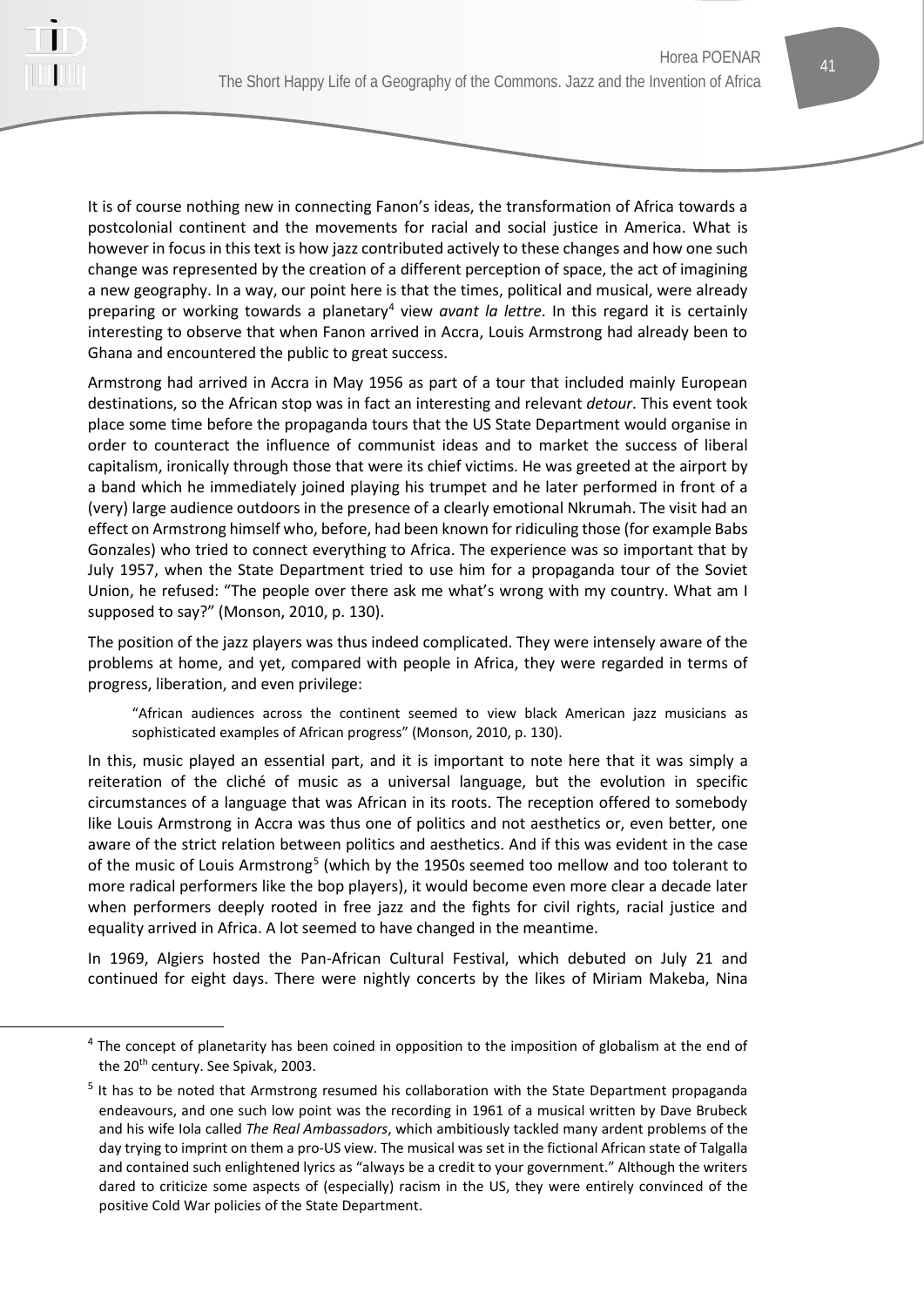

It is of course nothing new in connecting Fanon's ideas, the transformation of Africa towards a postcolonial continent and the movements for racial and social justice in America. What is however in focus in this text is how jazz contributed actively to these changes and how one such change was represented by the creation of a different perception of space, the act of imagining a new geography. In a way, our point here is that the times, political and musical, were already preparing or working towards a planetary<sup>[4](#page-4-0)</sup> view *avant la lettre*. In this regard it is certainly interesting to observe that when Fanon arrived in Accra, Louis Armstrong had already been to Ghana and encountered the public to great success.

Armstrong had arrived in Accra in May 1956 as part of a tour that included mainly European destinations, so the African stop was in fact an interesting and relevant *detour*. This event took place some time before the propaganda tours that the US State Department would organise in order to counteract the influence of communist ideas and to market the success of liberal capitalism, ironically through those that were its chief victims. He was greeted at the airport by a band which he immediately joined playing his trumpet and he later performed in front of a (very) large audience outdoors in the presence of a clearly emotional Nkrumah. The visit had an effect on Armstrong himself who, before, had been known for ridiculing those (for example Babs Gonzales) who tried to connect everything to Africa. The experience was so important that by July 1957, when the State Department tried to use him for a propaganda tour of the Soviet Union, he refused: "The people over there ask me what's wrong with my country. What am I supposed to say?" (Monson, 2010, p. 130).

The position of the jazz players was thus indeed complicated. They were intensely aware of the problems at home, and yet, compared with people in Africa, they were regarded in terms of progress, liberation, and even privilege:

"African audiences across the continent seemed to view black American jazz musicians as sophisticated examples of African progress" (Monson, 2010, p. 130).

In this, music played an essential part, and it is important to note here that it was simply a reiteration of the cliché of music as a universal language, but the evolution in specific circumstances of a language that was African in its roots. The reception offered to somebody like Louis Armstrong in Accra was thus one of politics and not aesthetics or, even better, one aware of the strict relation between politics and aesthetics. And if this was evident in the case of the music of Louis Armstrong<sup>[5](#page-4-1)</sup> (which by the 1950s seemed too mellow and too tolerant to more radical performers like the bop players), it would become even more clear a decade later when performers deeply rooted in free jazz and the fights for civil rights, racial justice and equality arrived in Africa. A lot seemed to have changed in the meantime.

In 1969, Algiers hosted the Pan-African Cultural Festival, which debuted on July 21 and continued for eight days. There were nightly concerts by the likes of Miriam Makeba, Nina

<span id="page-4-0"></span> $4$  The concept of planetarity has been coined in opposition to the imposition of globalism at the end of the 20<sup>th</sup> century. See Spivak, 2003.

<span id="page-4-1"></span><sup>&</sup>lt;sup>5</sup> It has to be noted that Armstrong resumed his collaboration with the State Department propaganda endeavours, and one such low point was the recording in 1961 of a musical written by Dave Brubeck and his wife Iola called *The Real Ambassadors*, which ambitiously tackled many ardent problems of the day trying to imprint on them a pro-US view. The musical was set in the fictional African state of Talgalla and contained such enlightened lyrics as "always be a credit to your government." Although the writers dared to criticize some aspects of (especially) racism in the US, they were entirely convinced of the positive Cold War policies of the State Department.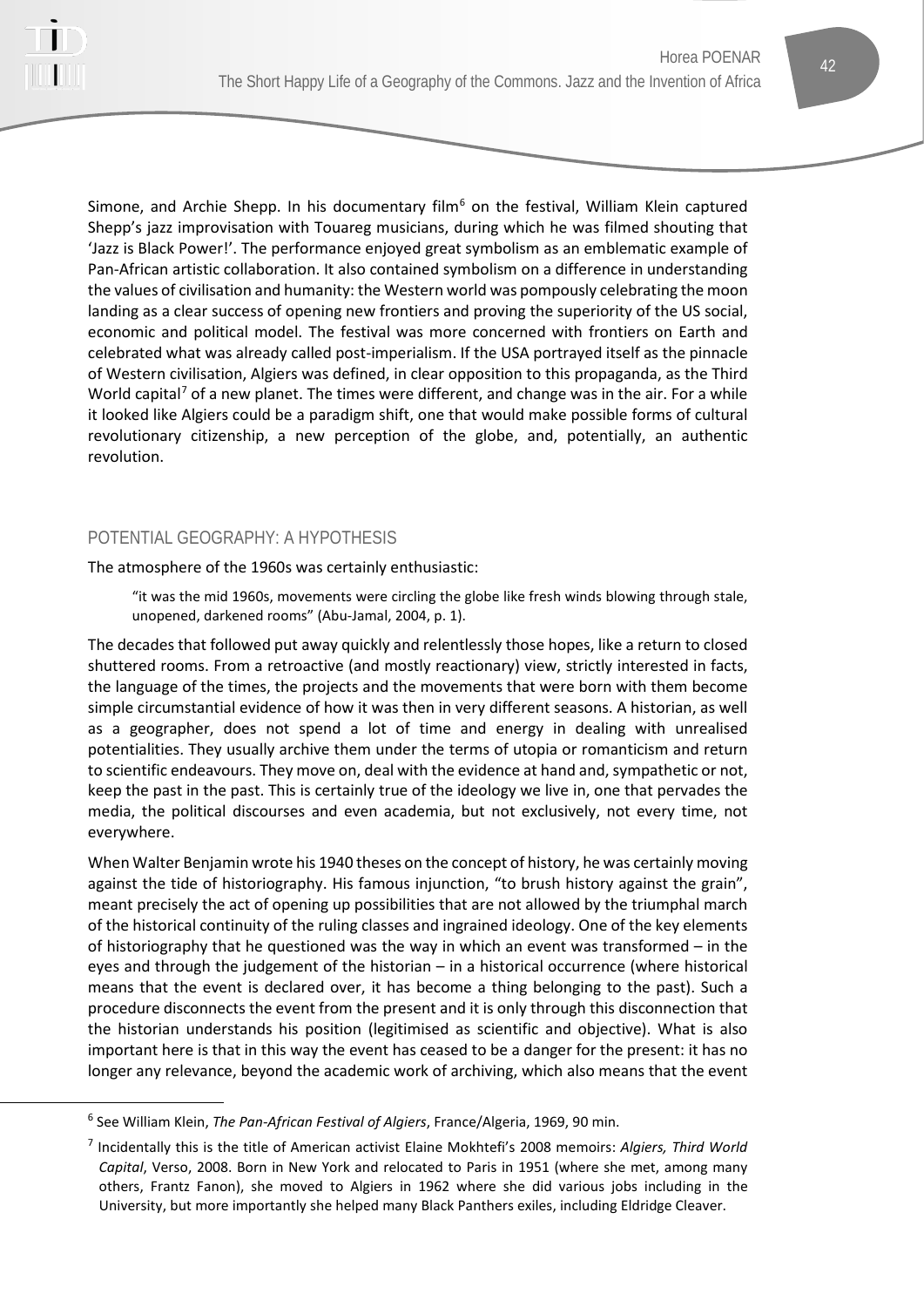

Simone, and Archie Shepp. In his documentary film<sup>[6](#page-5-0)</sup> on the festival, William Klein captured Shepp's jazz improvisation with Touareg musicians, during which he was filmed shouting that 'Jazz is Black Power!'. The performance enjoyed great symbolism as an emblematic example of Pan-African artistic collaboration. It also contained symbolism on a difference in understanding the values of civilisation and humanity: the Western world was pompously celebrating the moon landing as a clear success of opening new frontiers and proving the superiority of the US social, economic and political model. The festival was more concerned with frontiers on Earth and celebrated what was already called post-imperialism. If the USA portrayed itself as the pinnacle of Western civilisation, Algiers was defined, in clear opposition to this propaganda, as the Third World capital<sup>[7](#page-5-1)</sup> of a new planet. The times were different, and change was in the air. For a while it looked like Algiers could be a paradigm shift, one that would make possible forms of cultural revolutionary citizenship, a new perception of the globe, and, potentially, an authentic revolution.

# POTENTIAL GEOGRAPHY: A HYPOTHESIS

The atmosphere of the 1960s was certainly enthusiastic:

"it was the mid 1960s, movements were circling the globe like fresh winds blowing through stale, unopened, darkened rooms" (Abu-Jamal, 2004, p. 1).

The decades that followed put away quickly and relentlessly those hopes, like a return to closed shuttered rooms. From a retroactive (and mostly reactionary) view, strictly interested in facts, the language of the times, the projects and the movements that were born with them become simple circumstantial evidence of how it was then in very different seasons. A historian, as well as a geographer, does not spend a lot of time and energy in dealing with unrealised potentialities. They usually archive them under the terms of utopia or romanticism and return to scientific endeavours. They move on, deal with the evidence at hand and, sympathetic or not, keep the past in the past. This is certainly true of the ideology we live in, one that pervades the media, the political discourses and even academia, but not exclusively, not every time, not everywhere.

When Walter Benjamin wrote his 1940 theses on the concept of history, he was certainly moving against the tide of historiography. His famous injunction, "to brush history against the grain", meant precisely the act of opening up possibilities that are not allowed by the triumphal march of the historical continuity of the ruling classes and ingrained ideology. One of the key elements of historiography that he questioned was the way in which an event was transformed – in the eyes and through the judgement of the historian – in a historical occurrence (where historical means that the event is declared over, it has become a thing belonging to the past). Such a procedure disconnects the event from the present and it is only through this disconnection that the historian understands his position (legitimised as scientific and objective). What is also important here is that in this way the event has ceased to be a danger for the present: it has no longer any relevance, beyond the academic work of archiving, which also means that the event

<span id="page-5-0"></span><sup>6</sup> See William Klein, *The Pan-African Festival of Algiers*, France/Algeria, 1969, 90 min.

<span id="page-5-1"></span><sup>7</sup> Incidentally this is the title of American activist Elaine Mokhtefi's 2008 memoirs: *Algiers, Third World Capital*, Verso, 2008. Born in New York and relocated to Paris in 1951 (where she met, among many others, Frantz Fanon), she moved to Algiers in 1962 where she did various jobs including in the University, but more importantly she helped many Black Panthers exiles, including Eldridge Cleaver.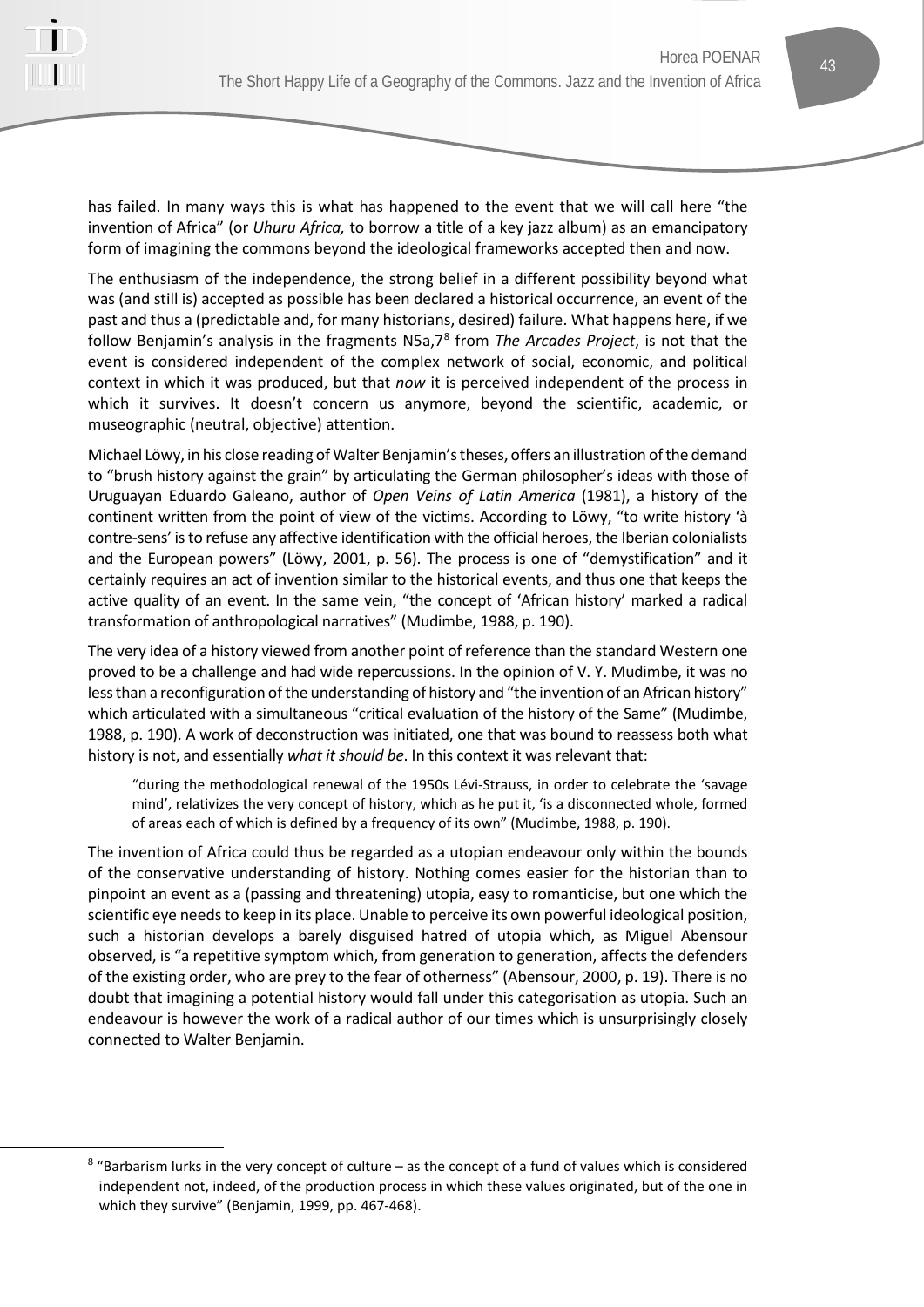

has failed. In many ways this is what has happened to the event that we will call here "the invention of Africa" (or *Uhuru Africa,* to borrow a title of a key jazz album) as an emancipatory form of imagining the commons beyond the ideological frameworks accepted then and now.

The enthusiasm of the independence, the strong belief in a different possibility beyond what was (and still is) accepted as possible has been declared a historical occurrence, an event of the past and thus a (predictable and, for many historians, desired) failure. What happens here, if we follow Benjamin's analysis in the fragments N5a,7[8](#page-6-0) from *The Arcades Project*, is not that the event is considered independent of the complex network of social, economic, and political context in which it was produced, but that *now* it is perceived independent of the process in which it survives. It doesn't concern us anymore, beyond the scientific, academic, or museographic (neutral, objective) attention.

Michael Löwy, in his close reading of Walter Benjamin's theses, offers an illustration of the demand to "brush history against the grain" by articulating the German philosopher's ideas with those of Uruguayan Eduardo Galeano, author of *Open Veins of Latin America* (1981), a history of the continent written from the point of view of the victims. According to Löwy, "to write history 'à contre-sens' is to refuse any affective identification with the official heroes, the Iberian colonialists and the European powers" (Löwy, 2001, p. 56). The process is one of "demystification" and it certainly requires an act of invention similar to the historical events, and thus one that keeps the active quality of an event. In the same vein, "the concept of 'African history' marked a radical transformation of anthropological narratives" (Mudimbe, 1988, p. 190).

The very idea of a history viewed from another point of reference than the standard Western one proved to be a challenge and had wide repercussions. In the opinion of V. Y. Mudimbe, it was no less than a reconfiguration of the understanding of history and "the invention of an African history" which articulated with a simultaneous "critical evaluation of the history of the Same" (Mudimbe, 1988, p. 190). A work of deconstruction was initiated, one that was bound to reassess both what history is not, and essentially *what it should be*. In this context it was relevant that:

"during the methodological renewal of the 1950s Lévi-Strauss, in order to celebrate the 'savage mind', relativizes the very concept of history, which as he put it, 'is a disconnected whole, formed of areas each of which is defined by a frequency of its own" (Mudimbe, 1988, p. 190).

The invention of Africa could thus be regarded as a utopian endeavour only within the bounds of the conservative understanding of history. Nothing comes easier for the historian than to pinpoint an event as a (passing and threatening) utopia, easy to romanticise, but one which the scientific eye needs to keep in its place. Unable to perceive its own powerful ideological position, such a historian develops a barely disguised hatred of utopia which, as Miguel Abensour observed, is "a repetitive symptom which, from generation to generation, affects the defenders of the existing order, who are prey to the fear of otherness" (Abensour, 2000, p. 19). There is no doubt that imagining a potential history would fall under this categorisation as utopia. Such an endeavour is however the work of a radical author of our times which is unsurprisingly closely connected to Walter Benjamin.

<span id="page-6-0"></span> $8$  "Barbarism lurks in the very concept of culture – as the concept of a fund of values which is considered independent not, indeed, of the production process in which these values originated, but of the one in which they survive" (Benjamin, 1999, pp. 467-468).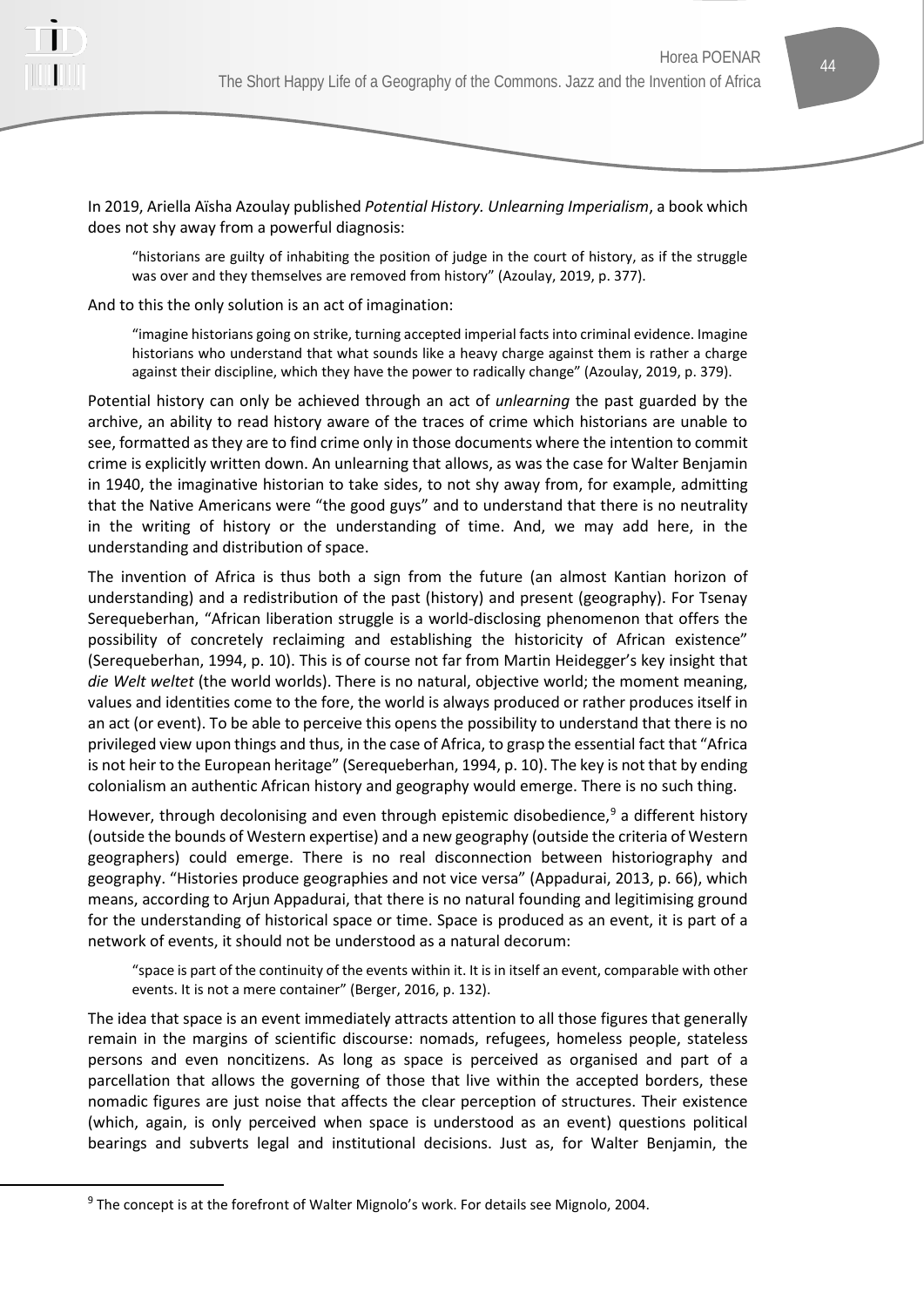

In 2019, Ariella Aïsha Azoulay published *Potential History. Unlearning Imperialism*, a book which does not shy away from a powerful diagnosis:

"historians are guilty of inhabiting the position of judge in the court of history, as if the struggle was over and they themselves are removed from history" (Azoulay, 2019, p. 377).

And to this the only solution is an act of imagination:

"imagine historians going on strike, turning accepted imperial facts into criminal evidence. Imagine historians who understand that what sounds like a heavy charge against them is rather a charge against their discipline, which they have the power to radically change" (Azoulay, 2019, p. 379).

Potential history can only be achieved through an act of *unlearning* the past guarded by the archive, an ability to read history aware of the traces of crime which historians are unable to see, formatted as they are to find crime only in those documents where the intention to commit crime is explicitly written down. An unlearning that allows, as was the case for Walter Benjamin in 1940, the imaginative historian to take sides, to not shy away from, for example, admitting that the Native Americans were "the good guys" and to understand that there is no neutrality in the writing of history or the understanding of time. And, we may add here, in the understanding and distribution of space.

The invention of Africa is thus both a sign from the future (an almost Kantian horizon of understanding) and a redistribution of the past (history) and present (geography). For Tsenay Serequeberhan, "African liberation struggle is a world-disclosing phenomenon that offers the possibility of concretely reclaiming and establishing the historicity of African existence" (Serequeberhan, 1994, p. 10). This is of course not far from Martin Heidegger's key insight that *die Welt weltet* (the world worlds). There is no natural, objective world; the moment meaning, values and identities come to the fore, the world is always produced or rather produces itself in an act (or event). To be able to perceive this opens the possibility to understand that there is no privileged view upon things and thus, in the case of Africa, to grasp the essential fact that "Africa is not heir to the European heritage" (Serequeberhan, 1994, p. 10). The key is not that by ending colonialism an authentic African history and geography would emerge. There is no such thing.

However, through decolonising and even through epistemic disobedience, $9$  a different history (outside the bounds of Western expertise) and a new geography (outside the criteria of Western geographers) could emerge. There is no real disconnection between historiography and geography. "Histories produce geographies and not vice versa" (Appadurai, 2013, p. 66), which means, according to Arjun Appadurai, that there is no natural founding and legitimising ground for the understanding of historical space or time. Space is produced as an event, it is part of a network of events, it should not be understood as a natural decorum:

"space is part of the continuity of the events within it. It is in itself an event, comparable with other events. It is not a mere container" (Berger, 2016, p. 132).

The idea that space is an event immediately attracts attention to all those figures that generally remain in the margins of scientific discourse: nomads, refugees, homeless people, stateless persons and even noncitizens. As long as space is perceived as organised and part of a parcellation that allows the governing of those that live within the accepted borders, these nomadic figures are just noise that affects the clear perception of structures. Their existence (which, again, is only perceived when space is understood as an event) questions political bearings and subverts legal and institutional decisions. Just as, for Walter Benjamin, the

<span id="page-7-0"></span><sup>&</sup>lt;sup>9</sup> The concept is at the forefront of Walter Mignolo's work. For details see Mignolo, 2004.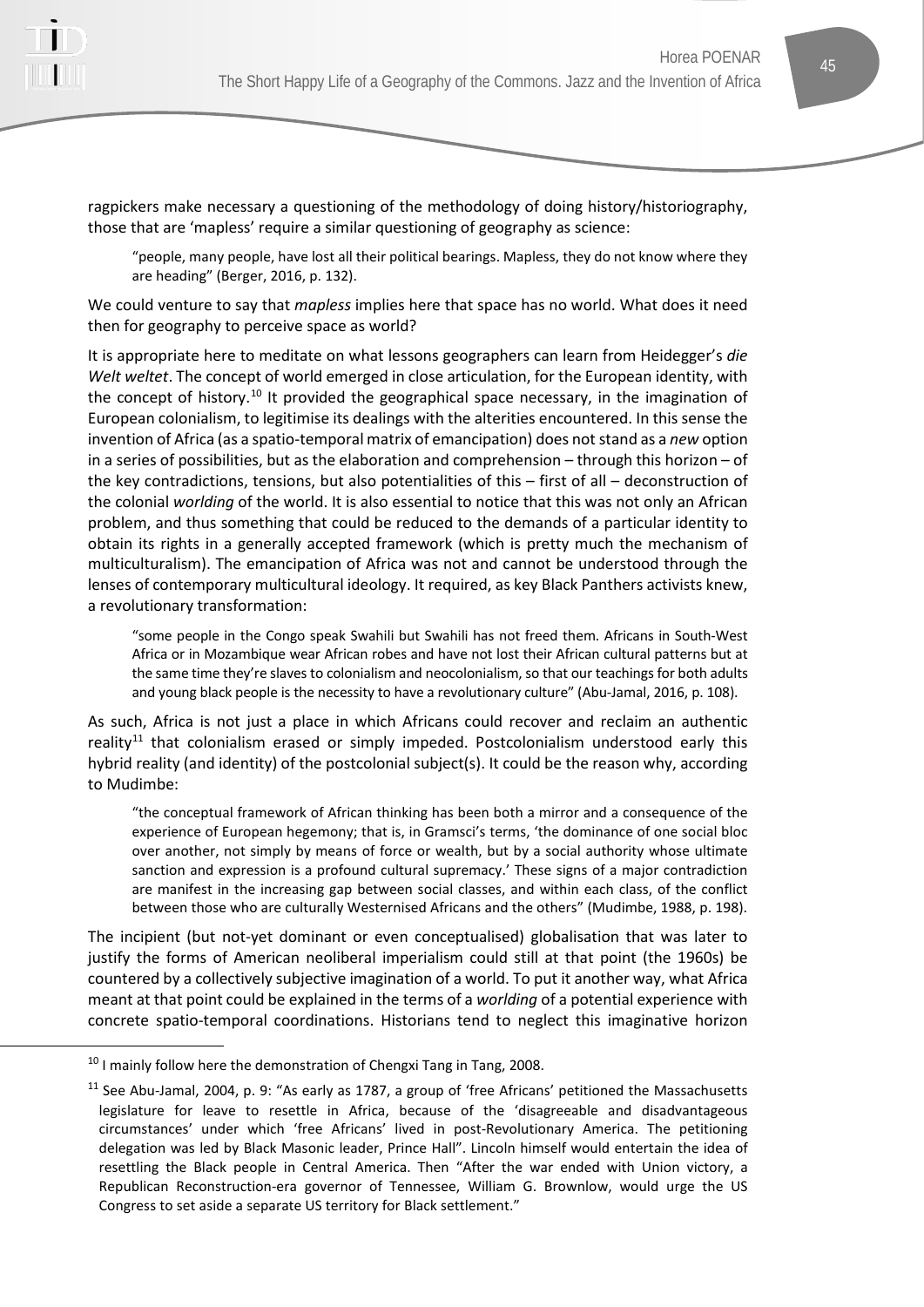

ragpickers make necessary a questioning of the methodology of doing history/historiography, those that are 'mapless' require a similar questioning of geography as science:

"people, many people, have lost all their political bearings. Mapless, they do not know where they are heading" (Berger, 2016, p. 132).

We could venture to say that *mapless* implies here that space has no world. What does it need then for geography to perceive space as world?

It is appropriate here to meditate on what lessons geographers can learn from Heidegger's *die Welt weltet*. The concept of world emerged in close articulation, for the European identity, with the concept of history.<sup>[10](#page-8-0)</sup> It provided the geographical space necessary, in the imagination of European colonialism, to legitimise its dealings with the alterities encountered. In this sense the invention of Africa (as a spatio-temporal matrix of emancipation) does not stand as a *new* option in a series of possibilities, but as the elaboration and comprehension – through this horizon – of the key contradictions, tensions, but also potentialities of this – first of all – deconstruction of the colonial *worlding* of the world. It is also essential to notice that this was not only an African problem, and thus something that could be reduced to the demands of a particular identity to obtain its rights in a generally accepted framework (which is pretty much the mechanism of multiculturalism). The emancipation of Africa was not and cannot be understood through the lenses of contemporary multicultural ideology. It required, as key Black Panthers activists knew, a revolutionary transformation:

"some people in the Congo speak Swahili but Swahili has not freed them. Africans in South-West Africa or in Mozambique wear African robes and have not lost their African cultural patterns but at the same time they're slaves to colonialism and neocolonialism, so that our teachings for both adults and young black people is the necessity to have a revolutionary culture" (Abu-Jamal, 2016, p. 108).

As such, Africa is not just a place in which Africans could recover and reclaim an authentic reality<sup>11</sup> that colonialism erased or simply impeded. Postcolonialism understood early this hybrid reality (and identity) of the postcolonial subject(s). It could be the reason why, according to Mudimbe:

"the conceptual framework of African thinking has been both a mirror and a consequence of the experience of European hegemony; that is, in Gramsci's terms, 'the dominance of one social bloc over another, not simply by means of force or wealth, but by a social authority whose ultimate sanction and expression is a profound cultural supremacy.' These signs of a major contradiction are manifest in the increasing gap between social classes, and within each class, of the conflict between those who are culturally Westernised Africans and the others" (Mudimbe, 1988, p. 198).

The incipient (but not-yet dominant or even conceptualised) globalisation that was later to justify the forms of American neoliberal imperialism could still at that point (the 1960s) be countered by a collectively subjective imagination of a world. To put it another way, what Africa meant at that point could be explained in the terms of a *worlding* of a potential experience with concrete spatio-temporal coordinations. Historians tend to neglect this imaginative horizon

<span id="page-8-0"></span><sup>&</sup>lt;sup>10</sup> I mainly follow here the demonstration of Chengxi Tang in Tang, 2008.

<span id="page-8-1"></span><sup>&</sup>lt;sup>11</sup> See Abu-Jamal, 2004, p. 9: "As early as 1787, a group of 'free Africans' petitioned the Massachusetts legislature for leave to resettle in Africa, because of the 'disagreeable and disadvantageous circumstances' under which 'free Africans' lived in post-Revolutionary America. The petitioning delegation was led by Black Masonic leader, Prince Hall". Lincoln himself would entertain the idea of resettling the Black people in Central America. Then "After the war ended with Union victory, a Republican Reconstruction-era governor of Tennessee, William G. Brownlow, would urge the US Congress to set aside a separate US territory for Black settlement."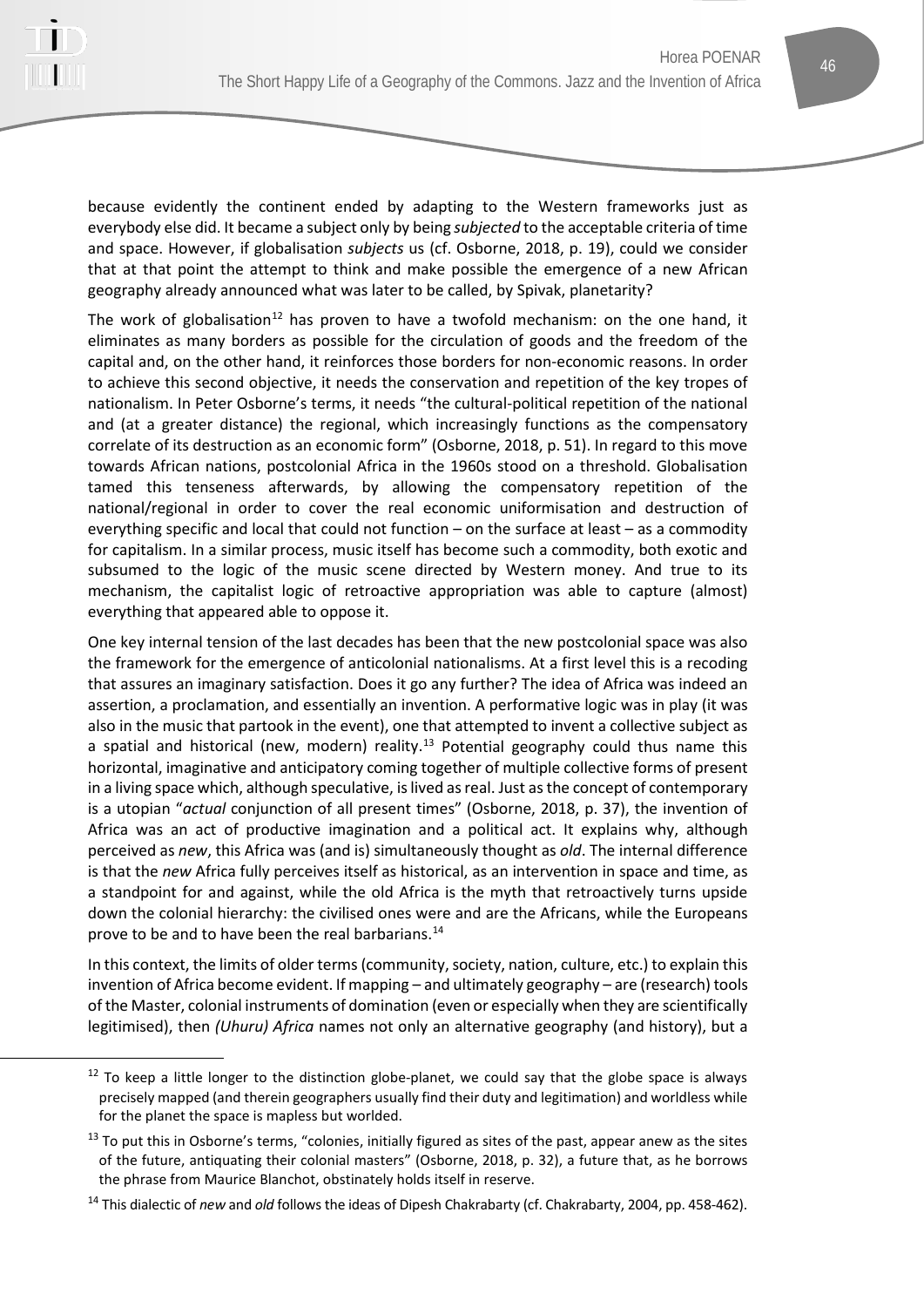

because evidently the continent ended by adapting to the Western frameworks just as everybody else did. It became a subject only by being *subjected* to the acceptable criteria of time and space. However, if globalisation *subjects* us (cf. Osborne, 2018, p. 19), could we consider that at that point the attempt to think and make possible the emergence of a new African geography already announced what was later to be called, by Spivak, planetarity?

The work of globalisation<sup>[12](#page-9-0)</sup> has proven to have a twofold mechanism: on the one hand, it eliminates as many borders as possible for the circulation of goods and the freedom of the capital and, on the other hand, it reinforces those borders for non-economic reasons. In order to achieve this second objective, it needs the conservation and repetition of the key tropes of nationalism. In Peter Osborne's terms, it needs "the cultural-political repetition of the national and (at a greater distance) the regional, which increasingly functions as the compensatory correlate of its destruction as an economic form" (Osborne, 2018, p. 51). In regard to this move towards African nations, postcolonial Africa in the 1960s stood on a threshold. Globalisation tamed this tenseness afterwards, by allowing the compensatory repetition of the national/regional in order to cover the real economic uniformisation and destruction of everything specific and local that could not function – on the surface at least – as a commodity for capitalism. In a similar process, music itself has become such a commodity, both exotic and subsumed to the logic of the music scene directed by Western money. And true to its mechanism, the capitalist logic of retroactive appropriation was able to capture (almost) everything that appeared able to oppose it.

One key internal tension of the last decades has been that the new postcolonial space was also the framework for the emergence of anticolonial nationalisms. At a first level this is a recoding that assures an imaginary satisfaction. Does it go any further? The idea of Africa was indeed an assertion, a proclamation, and essentially an invention. A performative logic was in play (it was also in the music that partook in the event), one that attempted to invent a collective subject as a spatial and historical (new, modern) reality.<sup>[13](#page-9-1)</sup> Potential geography could thus name this horizontal, imaginative and anticipatory coming together of multiple collective forms of present in a living space which, although speculative, is lived as real. Just as the concept of contemporary is a utopian "*actual* conjunction of all present times" (Osborne, 2018, p. 37), the invention of Africa was an act of productive imagination and a political act. It explains why, although perceived as *new*, this Africa was (and is) simultaneously thought as *old*. The internal difference is that the *new* Africa fully perceives itself as historical, as an intervention in space and time, as a standpoint for and against, while the old Africa is the myth that retroactively turns upside down the colonial hierarchy: the civilised ones were and are the Africans, while the Europeans prove to be and to have been the real barbarians.<sup>[14](#page-9-2)</sup>

In this context, the limits of older terms (community, society, nation, culture, etc.) to explain this invention of Africa become evident. If mapping – and ultimately geography – are (research) tools of the Master, colonial instruments of domination (even or especially when they are scientifically legitimised), then *(Uhuru) Africa* names not only an alternative geography (and history), but a

<span id="page-9-0"></span> $12$  To keep a little longer to the distinction globe-planet, we could say that the globe space is always precisely mapped (and therein geographers usually find their duty and legitimation) and worldless while for the planet the space is mapless but worlded.

<span id="page-9-1"></span> $13$  To put this in Osborne's terms, "colonies, initially figured as sites of the past, appear anew as the sites of the future, antiquating their colonial masters" (Osborne, 2018, p. 32), a future that, as he borrows the phrase from Maurice Blanchot, obstinately holds itself in reserve.

<span id="page-9-2"></span><sup>14</sup> This dialectic of *new* and *old* follows the ideas of Dipesh Chakrabarty (cf. Chakrabarty, 2004, pp. 458-462).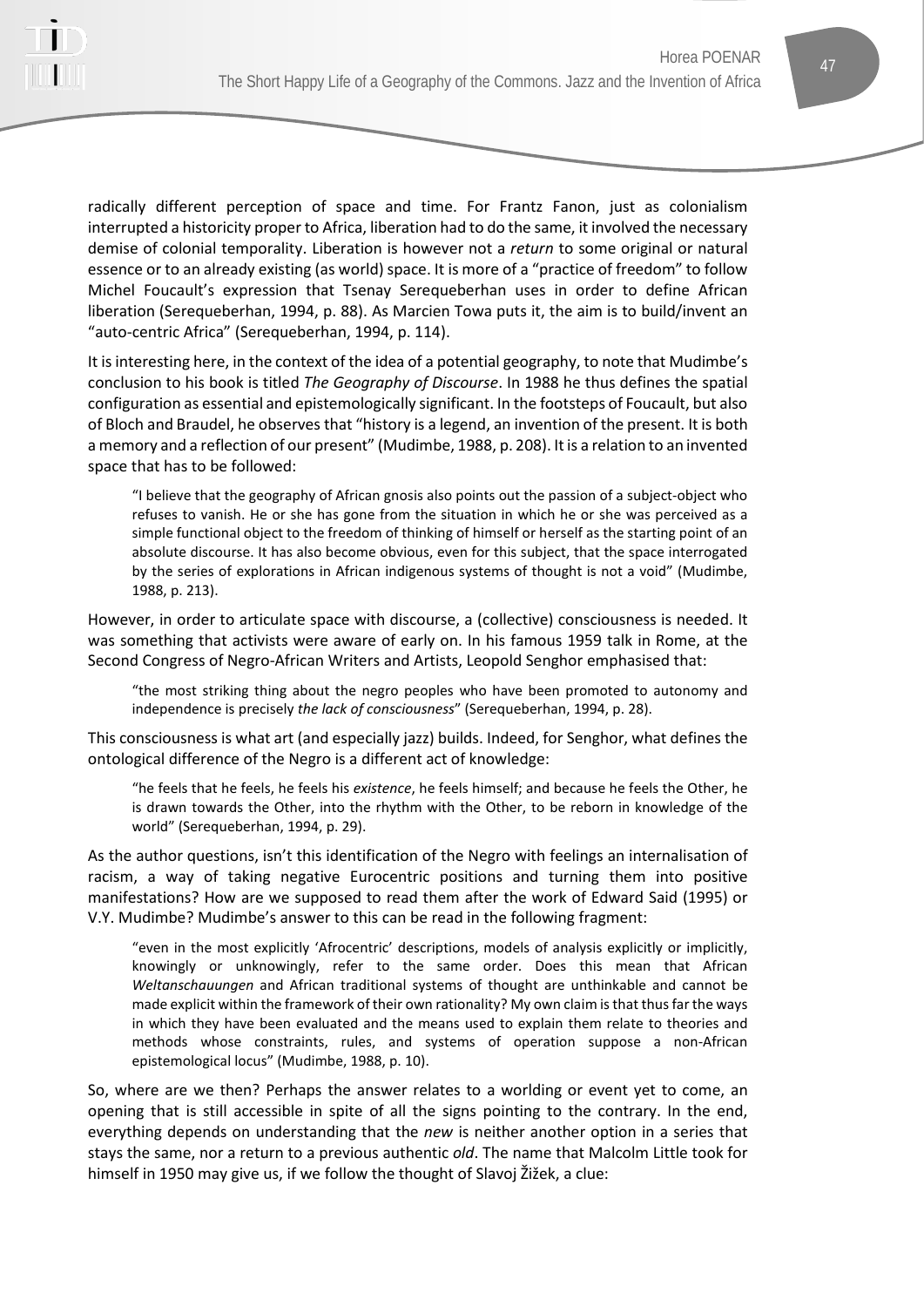

radically different perception of space and time. For Frantz Fanon, just as colonialism interrupted a historicity proper to Africa, liberation had to do the same, it involved the necessary demise of colonial temporality. Liberation is however not a *return* to some original or natural essence or to an already existing (as world) space. It is more of a "practice of freedom" to follow Michel Foucault's expression that Tsenay Serequeberhan uses in order to define African liberation (Serequeberhan, 1994, p. 88). As Marcien Towa puts it, the aim is to build/invent an "auto-centric Africa" (Serequeberhan, 1994, p. 114).

It is interesting here, in the context of the idea of a potential geography, to note that Mudimbe's conclusion to his book is titled *The Geography of Discourse*. In 1988 he thus defines the spatial configuration as essential and epistemologically significant. In the footsteps of Foucault, but also of Bloch and Braudel, he observes that "history is a legend, an invention of the present. It is both a memory and a reflection of our present" (Mudimbe, 1988, p. 208). It is a relation to an invented space that has to be followed:

"I believe that the geography of African gnosis also points out the passion of a subject-object who refuses to vanish. He or she has gone from the situation in which he or she was perceived as a simple functional object to the freedom of thinking of himself or herself as the starting point of an absolute discourse. It has also become obvious, even for this subject, that the space interrogated by the series of explorations in African indigenous systems of thought is not a void" (Mudimbe, 1988, p. 213).

However, in order to articulate space with discourse, a (collective) consciousness is needed. It was something that activists were aware of early on. In his famous 1959 talk in Rome, at the Second Congress of Negro-African Writers and Artists, Leopold Senghor emphasised that:

"the most striking thing about the negro peoples who have been promoted to autonomy and independence is precisely *the lack of consciousness*" (Serequeberhan, 1994, p. 28).

This consciousness is what art (and especially jazz) builds. Indeed, for Senghor, what defines the ontological difference of the Negro is a different act of knowledge:

"he feels that he feels, he feels his *existence*, he feels himself; and because he feels the Other, he is drawn towards the Other, into the rhythm with the Other, to be reborn in knowledge of the world" (Serequeberhan, 1994, p. 29).

As the author questions, isn't this identification of the Negro with feelings an internalisation of racism, a way of taking negative Eurocentric positions and turning them into positive manifestations? How are we supposed to read them after the work of Edward Said (1995) or V.Y. Mudimbe? Mudimbe's answer to this can be read in the following fragment:

"even in the most explicitly 'Afrocentric' descriptions, models of analysis explicitly or implicitly, knowingly or unknowingly, refer to the same order. Does this mean that African *Weltanschauungen* and African traditional systems of thought are unthinkable and cannot be made explicit within the framework of their own rationality? My own claim is that thus far the ways in which they have been evaluated and the means used to explain them relate to theories and methods whose constraints, rules, and systems of operation suppose a non-African epistemological locus" (Mudimbe, 1988, p. 10).

So, where are we then? Perhaps the answer relates to a worlding or event yet to come, an opening that is still accessible in spite of all the signs pointing to the contrary. In the end, everything depends on understanding that the *new* is neither another option in a series that stays the same, nor a return to a previous authentic *old*. The name that Malcolm Little took for himself in 1950 may give us, if we follow the thought of Slavoj Žižek, a clue: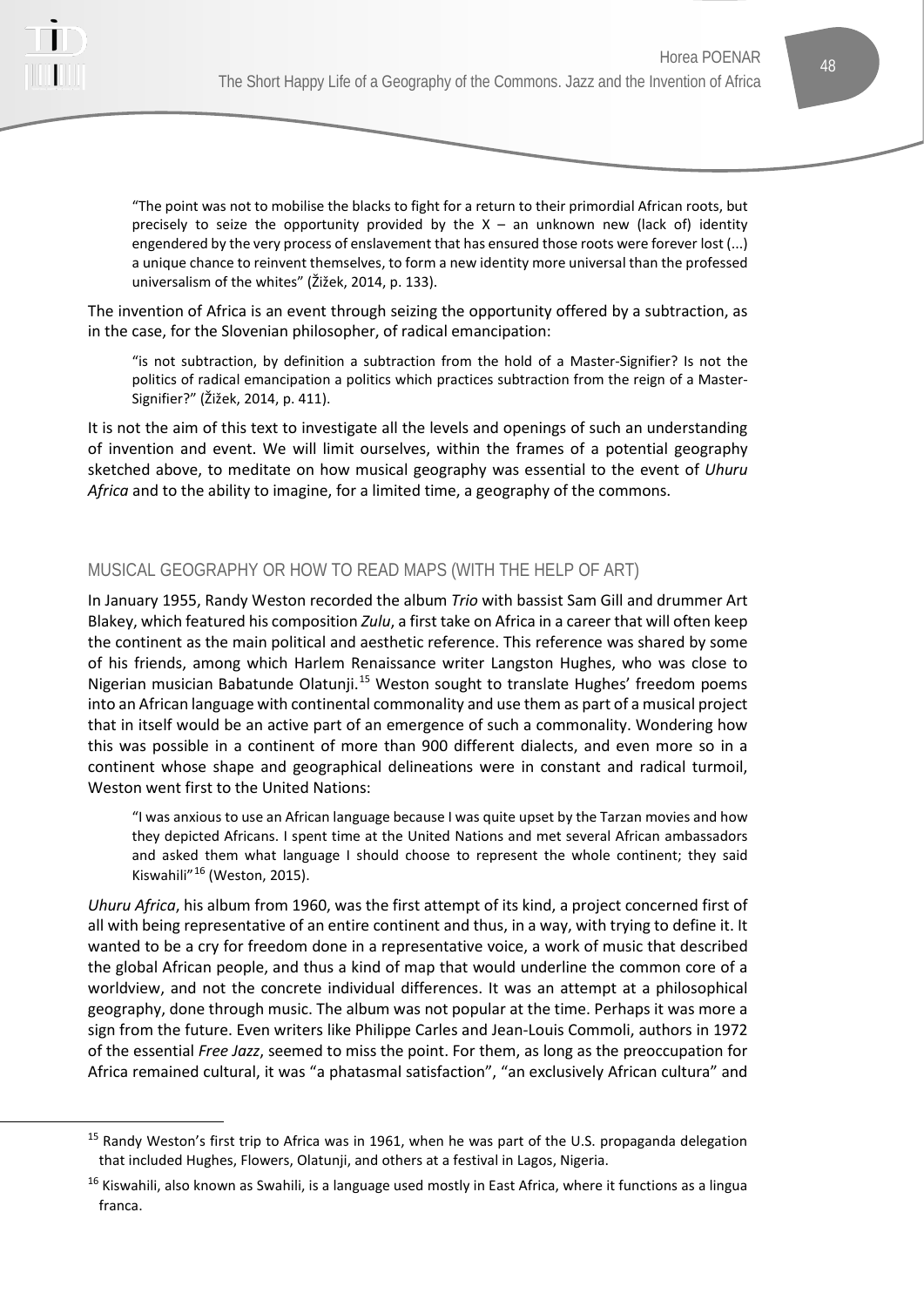

"The point was not to mobilise the blacks to fight for a return to their primordial African roots, but precisely to seize the opportunity provided by the  $X - a$ n unknown new (lack of) identity engendered by the very process of enslavement that has ensured those roots were forever lost (...) a unique chance to reinvent themselves, to form a new identity more universal than the professed universalism of the whites" (Žižek, 2014, p. 133).

The invention of Africa is an event through seizing the opportunity offered by a subtraction, as in the case, for the Slovenian philosopher, of radical emancipation:

"is not subtraction, by definition a subtraction from the hold of a Master-Signifier? Is not the politics of radical emancipation a politics which practices subtraction from the reign of a Master-Signifier?" (Žižek, 2014, p. 411).

It is not the aim of this text to investigate all the levels and openings of such an understanding of invention and event. We will limit ourselves, within the frames of a potential geography sketched above, to meditate on how musical geography was essential to the event of *Uhuru Africa* and to the ability to imagine, for a limited time, a geography of the commons.

## MUSICAL GEOGRAPHY OR HOW TO READ MAPS (WITH THE HELP OF ART)

In January 1955, Randy Weston recorded the album *Trio* with bassist Sam Gill and drummer Art Blakey, which featured his composition *Zulu*, a first take on Africa in a career that will often keep the continent as the main political and aesthetic reference. This reference was shared by some of his friends, among which Harlem Renaissance writer Langston Hughes, who was close to Nigerian musician Babatunde Olatunji.[15](#page-11-0) Weston sought to translate Hughes' freedom poems into an African language with continental commonality and use them as part of a musical project that in itself would be an active part of an emergence of such a commonality. Wondering how this was possible in a continent of more than 900 different dialects, and even more so in a continent whose shape and geographical delineations were in constant and radical turmoil, Weston went first to the United Nations:

"I was anxious to use an African language because I was quite upset by the Tarzan movies and how they depicted Africans. I spent time at the United Nations and met several African ambassadors and asked them what language I should choose to represent the whole continent; they said Kiswahili"[16](#page-11-1) (Weston, 2015).

*Uhuru Africa*, his album from 1960, was the first attempt of its kind, a project concerned first of all with being representative of an entire continent and thus, in a way, with trying to define it. It wanted to be a cry for freedom done in a representative voice, a work of music that described the global African people, and thus a kind of map that would underline the common core of a worldview, and not the concrete individual differences. It was an attempt at a philosophical geography, done through music. The album was not popular at the time. Perhaps it was more a sign from the future. Even writers like Philippe Carles and Jean-Louis Commoli, authors in 1972 of the essential *Free Jazz*, seemed to miss the point. For them, as long as the preoccupation for Africa remained cultural, it was "a phatasmal satisfaction", "an exclusively African cultura" and

<span id="page-11-0"></span><sup>&</sup>lt;sup>15</sup> Randy Weston's first trip to Africa was in 1961, when he was part of the U.S. propaganda delegation that included Hughes, Flowers, Olatunji, and others at a festival in Lagos, Nigeria.

<span id="page-11-1"></span><sup>&</sup>lt;sup>16</sup> Kiswahili, also known as Swahili, is a language used mostly in East Africa, where it functions as a lingua franca.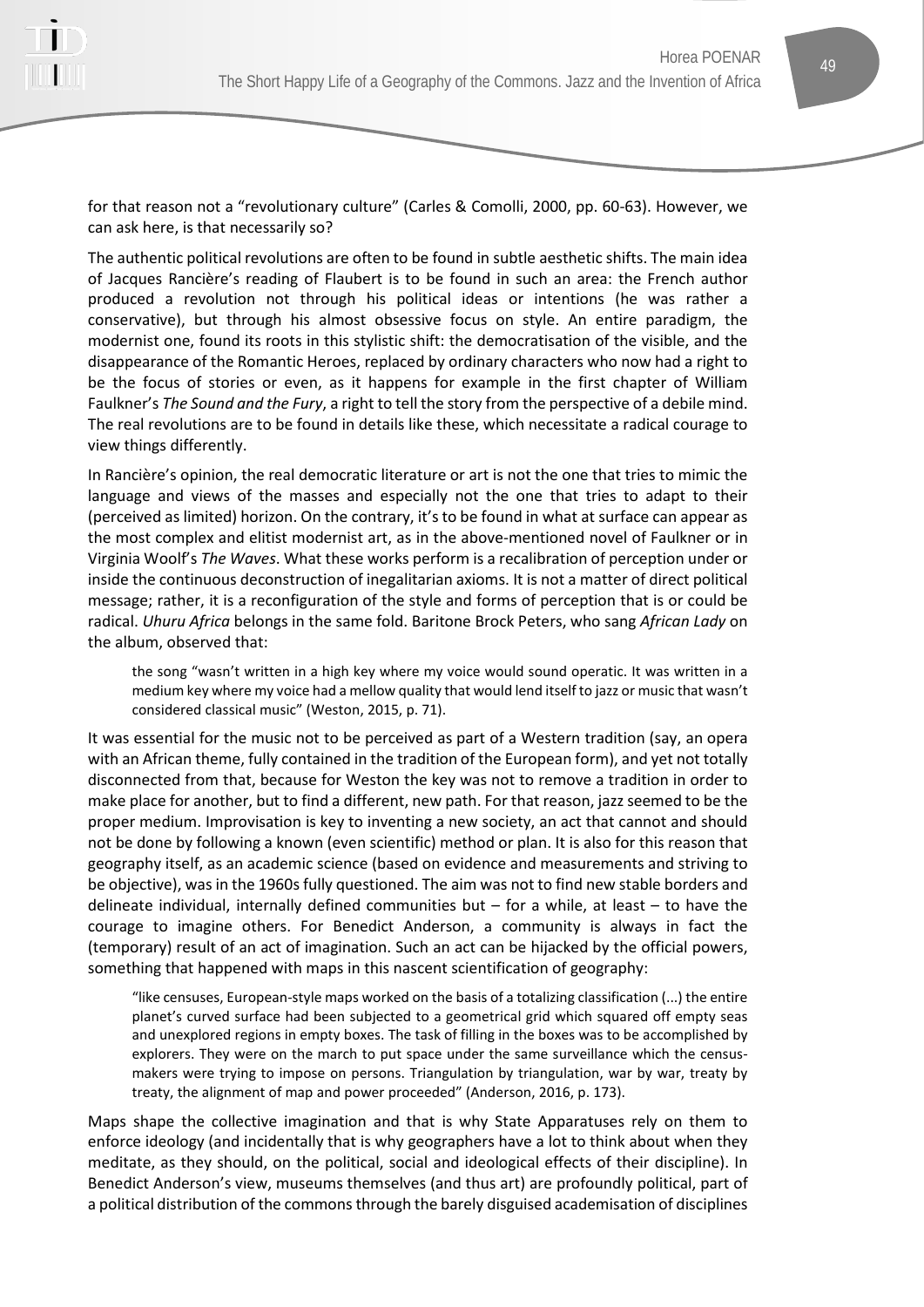

for that reason not a "revolutionary culture" (Carles & Comolli, 2000, pp. 60-63). However, we can ask here, is that necessarily so?

The authentic political revolutions are often to be found in subtle aesthetic shifts. The main idea of Jacques Rancière's reading of Flaubert is to be found in such an area: the French author produced a revolution not through his political ideas or intentions (he was rather a conservative), but through his almost obsessive focus on style. An entire paradigm, the modernist one, found its roots in this stylistic shift: the democratisation of the visible, and the disappearance of the Romantic Heroes, replaced by ordinary characters who now had a right to be the focus of stories or even, as it happens for example in the first chapter of William Faulkner's *The Sound and the Fury*, a right to tell the story from the perspective of a debile mind. The real revolutions are to be found in details like these, which necessitate a radical courage to view things differently.

In Rancière's opinion, the real democratic literature or art is not the one that tries to mimic the language and views of the masses and especially not the one that tries to adapt to their (perceived as limited) horizon. On the contrary, it's to be found in what at surface can appear as the most complex and elitist modernist art, as in the above-mentioned novel of Faulkner or in Virginia Woolf's *The Waves*. What these works perform is a recalibration of perception under or inside the continuous deconstruction of inegalitarian axioms. It is not a matter of direct political message; rather, it is a reconfiguration of the style and forms of perception that is or could be radical. *Uhuru Africa* belongs in the same fold. Baritone Brock Peters, who sang *African Lady* on the album, observed that:

the song "wasn't written in a high key where my voice would sound operatic. It was written in a medium key where my voice had a mellow quality that would lend itself to jazz or music that wasn't considered classical music" (Weston, 2015, p. 71).

It was essential for the music not to be perceived as part of a Western tradition (say, an opera with an African theme, fully contained in the tradition of the European form), and yet not totally disconnected from that, because for Weston the key was not to remove a tradition in order to make place for another, but to find a different, new path. For that reason, jazz seemed to be the proper medium. Improvisation is key to inventing a new society, an act that cannot and should not be done by following a known (even scientific) method or plan. It is also for this reason that geography itself, as an academic science (based on evidence and measurements and striving to be objective), was in the 1960s fully questioned. The aim was not to find new stable borders and delineate individual, internally defined communities but – for a while, at least – to have the courage to imagine others. For Benedict Anderson, a community is always in fact the (temporary) result of an act of imagination. Such an act can be hijacked by the official powers, something that happened with maps in this nascent scientification of geography:

"like censuses, European-style maps worked on the basis of a totalizing classification (...) the entire planet's curved surface had been subjected to a geometrical grid which squared off empty seas and unexplored regions in empty boxes. The task of filling in the boxes was to be accomplished by explorers. They were on the march to put space under the same surveillance which the censusmakers were trying to impose on persons. Triangulation by triangulation, war by war, treaty by treaty, the alignment of map and power proceeded" (Anderson, 2016, p. 173).

Maps shape the collective imagination and that is why State Apparatuses rely on them to enforce ideology (and incidentally that is why geographers have a lot to think about when they meditate, as they should, on the political, social and ideological effects of their discipline). In Benedict Anderson's view, museums themselves (and thus art) are profoundly political, part of a political distribution of the commons through the barely disguised academisation of disciplines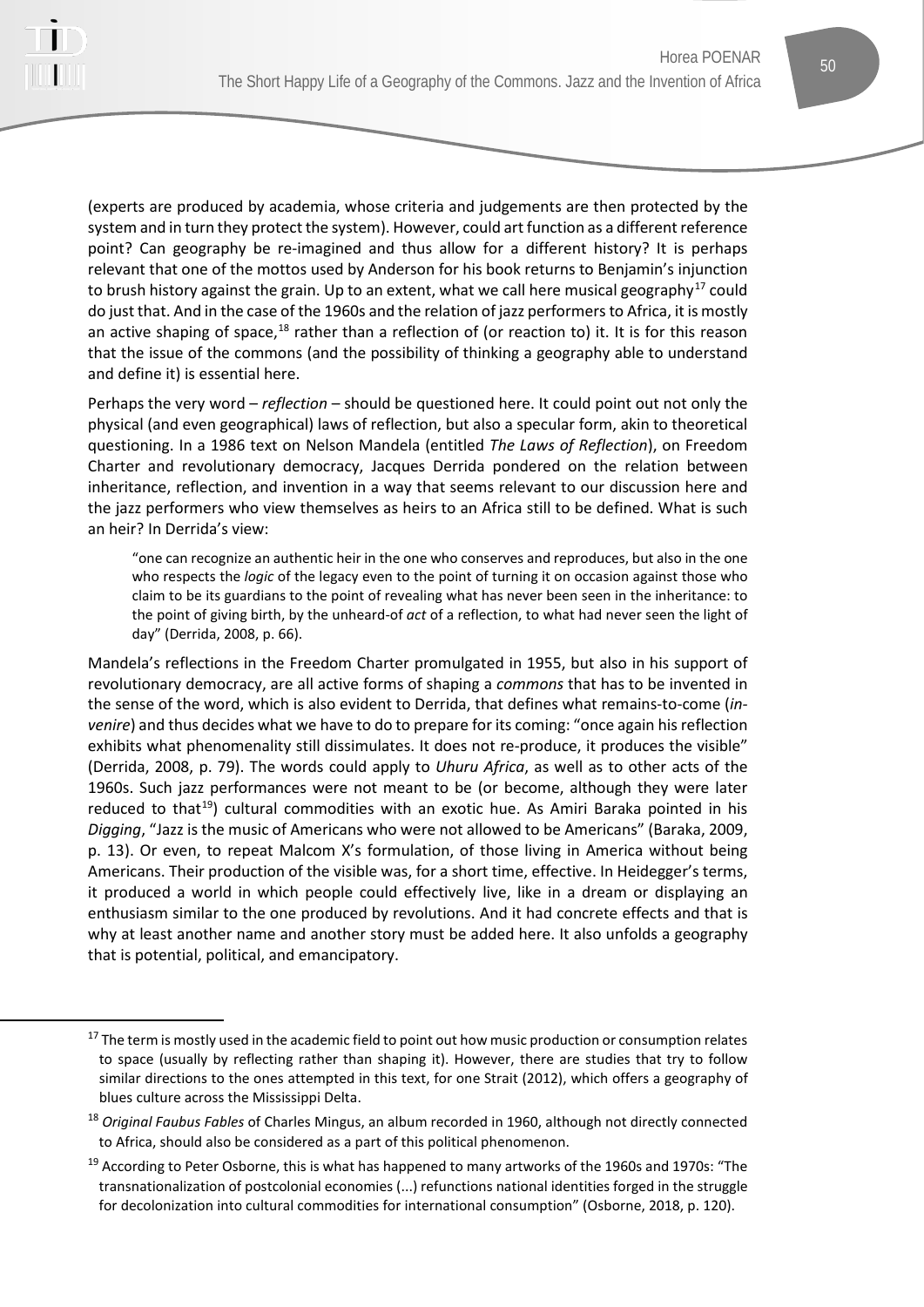

(experts are produced by academia, whose criteria and judgements are then protected by the system and in turn they protect the system). However, could art function as a different reference point? Can geography be re-imagined and thus allow for a different history? It is perhaps relevant that one of the mottos used by Anderson for his book returns to Benjamin's injunction to brush history against the grain. Up to an extent, what we call here musical geography<sup>[17](#page-13-0)</sup> could do just that. And in the case of the 1960s and the relation of jazz performers to Africa, it is mostly an active shaping of space, $18$  rather than a reflection of (or reaction to) it. It is for this reason that the issue of the commons (and the possibility of thinking a geography able to understand and define it) is essential here.

Perhaps the very word – *reflection* – should be questioned here. It could point out not only the physical (and even geographical) laws of reflection, but also a specular form, akin to theoretical questioning. In a 1986 text on Nelson Mandela (entitled *The Laws of Reflection*), on Freedom Charter and revolutionary democracy, Jacques Derrida pondered on the relation between inheritance, reflection, and invention in a way that seems relevant to our discussion here and the jazz performers who view themselves as heirs to an Africa still to be defined. What is such an heir? In Derrida's view:

"one can recognize an authentic heir in the one who conserves and reproduces, but also in the one who respects the *logic* of the legacy even to the point of turning it on occasion against those who claim to be its guardians to the point of revealing what has never been seen in the inheritance: to the point of giving birth, by the unheard-of *act* of a reflection, to what had never seen the light of day" (Derrida, 2008, p. 66).

Mandela's reflections in the Freedom Charter promulgated in 1955, but also in his support of revolutionary democracy, are all active forms of shaping a *commons* that has to be invented in the sense of the word, which is also evident to Derrida, that defines what remains-to-come (*invenire*) and thus decides what we have to do to prepare for its coming: "once again his reflection exhibits what phenomenality still dissimulates. It does not re-produce, it produces the visible" (Derrida, 2008, p. 79). The words could apply to *Uhuru Africa*, as well as to other acts of the 1960s. Such jazz performances were not meant to be (or become, although they were later reduced to that<sup>[19](#page-13-2)</sup>) cultural commodities with an exotic hue. As Amiri Baraka pointed in his *Digging*, "Jazz is the music of Americans who were not allowed to be Americans" (Baraka, 2009, p. 13). Or even, to repeat Malcom X's formulation, of those living in America without being Americans. Their production of the visible was, for a short time, effective. In Heidegger's terms, it produced a world in which people could effectively live, like in a dream or displaying an enthusiasm similar to the one produced by revolutions. And it had concrete effects and that is why at least another name and another story must be added here. It also unfolds a geography that is potential, political, and emancipatory.

<span id="page-13-0"></span><sup>&</sup>lt;sup>17</sup> The term is mostly used in the academic field to point out how music production or consumption relates to space (usually by reflecting rather than shaping it). However, there are studies that try to follow similar directions to the ones attempted in this text, for one Strait (2012), which offers a geography of blues culture across the Mississippi Delta.

<span id="page-13-1"></span><sup>18</sup> *Original Faubus Fables* of Charles Mingus, an album recorded in 1960, although not directly connected to Africa, should also be considered as a part of this political phenomenon.

<span id="page-13-2"></span> $19$  According to Peter Osborne, this is what has happened to many artworks of the 1960s and 1970s: "The transnationalization of postcolonial economies (...) refunctions national identities forged in the struggle for decolonization into cultural commodities for international consumption" (Osborne, 2018, p. 120).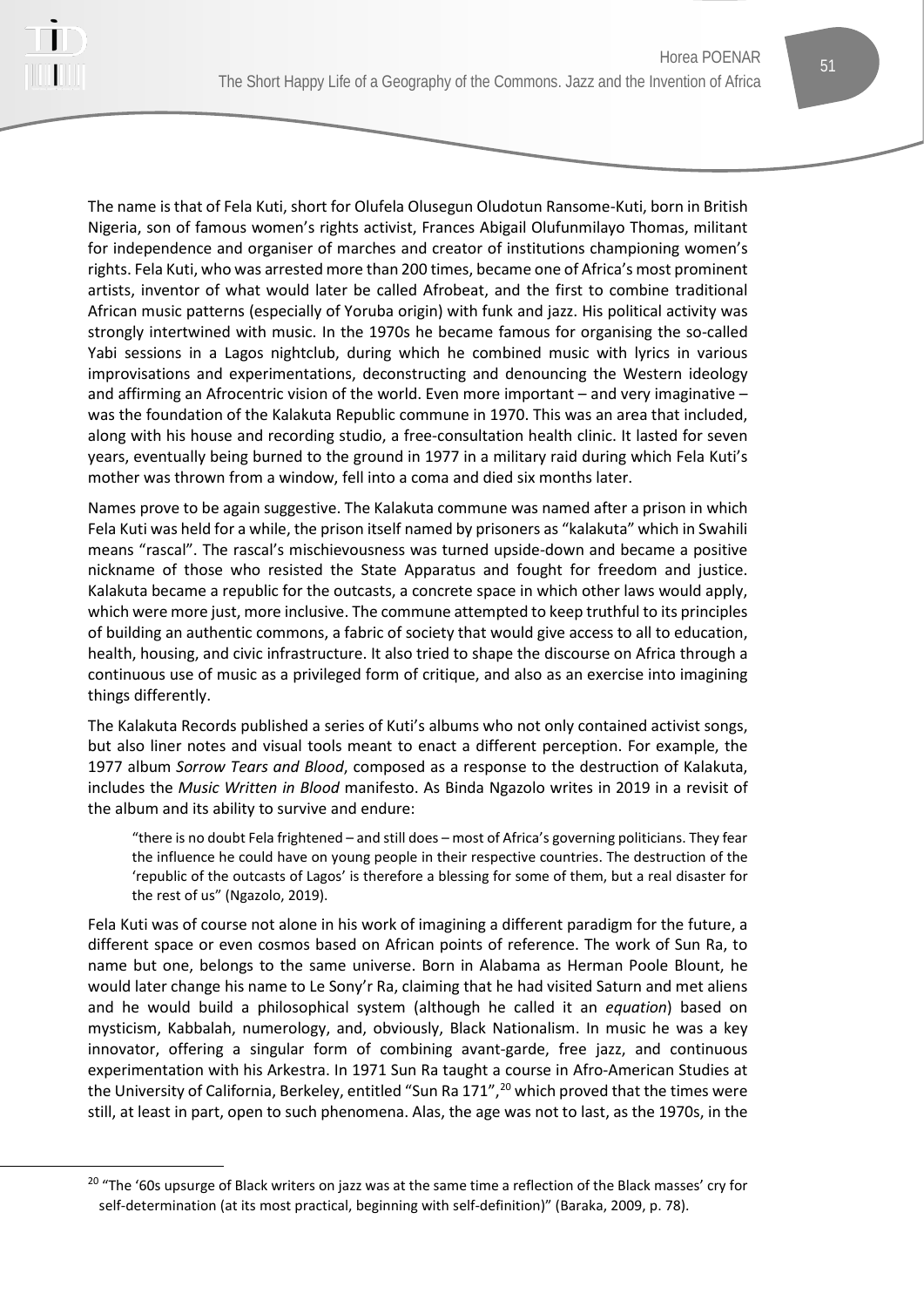

The name is that of Fela Kuti, short for Olufela Olusegun Oludotun Ransome-Kuti, born in British Nigeria, son of famous women's rights activist, Frances Abigail Olufunmilayo Thomas, militant for independence and organiser of marches and creator of institutions championing women's rights. Fela Kuti, who was arrested more than 200 times, became one of Africa's most prominent artists, inventor of what would later be called Afrobeat, and the first to combine traditional African music patterns (especially of Yoruba origin) with funk and jazz. His political activity was strongly intertwined with music. In the 1970s he became famous for organising the so-called Yabi sessions in a Lagos nightclub, during which he combined music with lyrics in various improvisations and experimentations, deconstructing and denouncing the Western ideology and affirming an Afrocentric vision of the world. Even more important – and very imaginative – was the foundation of the Kalakuta Republic commune in 1970. This was an area that included, along with his house and recording studio, a free-consultation health clinic. It lasted for seven years, eventually being burned to the ground in 1977 in a military raid during which Fela Kuti's mother was thrown from a window, fell into a coma and died six months later.

Names prove to be again suggestive. The Kalakuta commune was named after a prison in which Fela Kuti was held for a while, the prison itself named by prisoners as "kalakuta" which in Swahili means "rascal". The rascal's mischievousness was turned upside-down and became a positive nickname of those who resisted the State Apparatus and fought for freedom and justice. Kalakuta became a republic for the outcasts, a concrete space in which other laws would apply, which were more just, more inclusive. The commune attempted to keep truthful to its principles of building an authentic commons, a fabric of society that would give access to all to education, health, housing, and civic infrastructure. It also tried to shape the discourse on Africa through a continuous use of music as a privileged form of critique, and also as an exercise into imagining things differently.

The Kalakuta Records published a series of Kuti's albums who not only contained activist songs, but also liner notes and visual tools meant to enact a different perception. For example, the 1977 album *Sorrow Tears and Blood*, composed as a response to the destruction of Kalakuta, includes the *Music Written in Blood* manifesto. As Binda Ngazolo writes in 2019 in a revisit of the album and its ability to survive and endure:

"there is no doubt Fela frightened – and still does – most of Africa's governing politicians. They fear the influence he could have on young people in their respective countries. The destruction of the 'republic of the outcasts of Lagos' is therefore a blessing for some of them, but a real disaster for the rest of us" (Ngazolo, 2019).

Fela Kuti was of course not alone in his work of imagining a different paradigm for the future, a different space or even cosmos based on African points of reference. The work of Sun Ra, to name but one, belongs to the same universe. Born in Alabama as Herman Poole Blount, he would later change his name to Le Sony'r Ra, claiming that he had visited Saturn and met aliens and he would build a philosophical system (although he called it an *equation*) based on mysticism, Kabbalah, numerology, and, obviously, Black Nationalism. In music he was a key innovator, offering a singular form of combining avant-garde, free jazz, and continuous experimentation with his Arkestra. In 1971 Sun Ra taught a course in Afro-American Studies at the University of California, Berkeley, entitled "Sun Ra  $171"$ ,  $20$  which proved that the times were still, at least in part, open to such phenomena. Alas, the age was not to last, as the 1970s, in the

<span id="page-14-0"></span><sup>&</sup>lt;sup>20</sup> "The '60s upsurge of Black writers on jazz was at the same time a reflection of the Black masses' cry for self-determination (at its most practical, beginning with self-definition)" (Baraka, 2009, p. 78).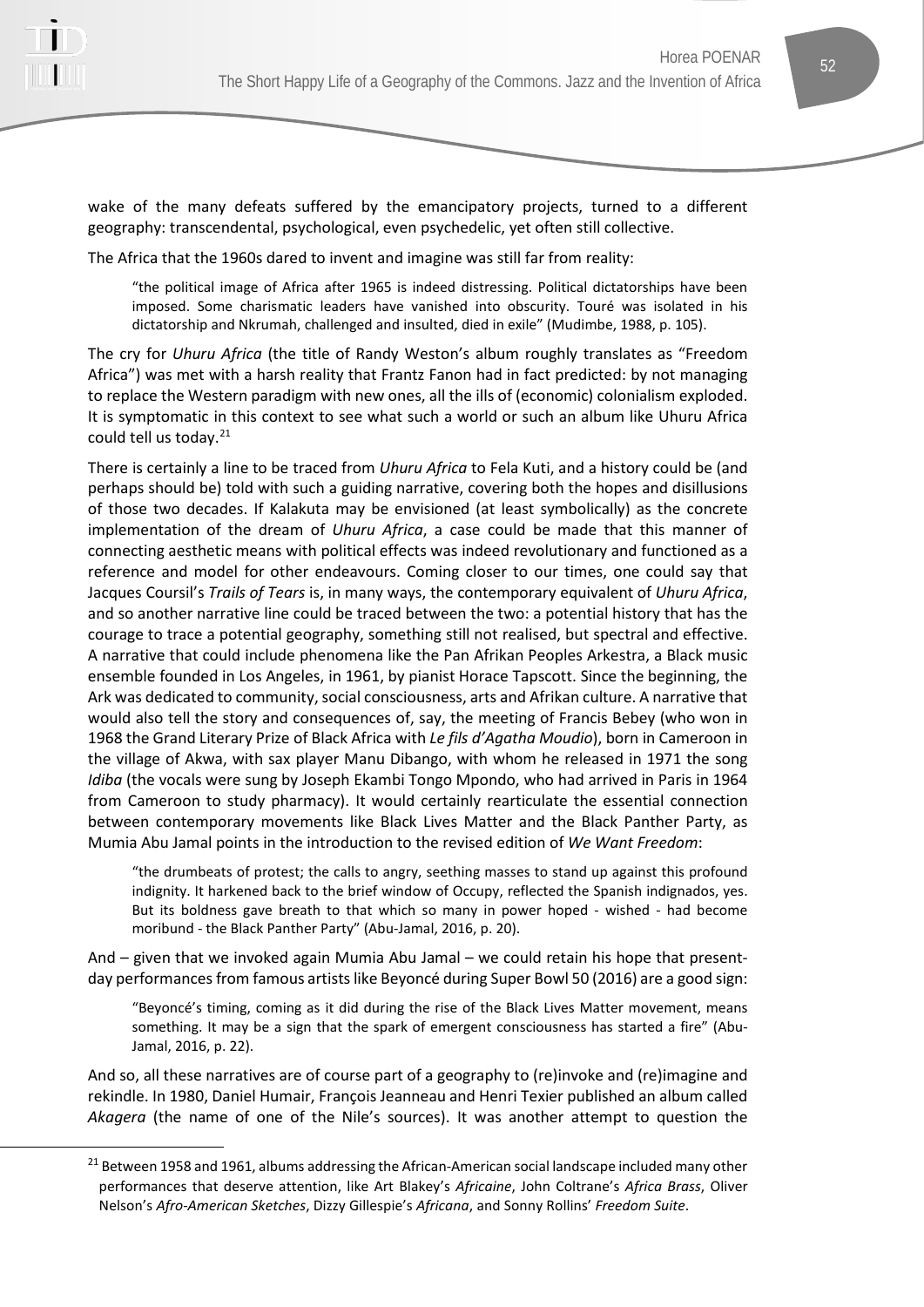

wake of the many defeats suffered by the emancipatory projects, turned to a different geography: transcendental, psychological, even psychedelic, yet often still collective.

The Africa that the 1960s dared to invent and imagine was still far from reality:

"the political image of Africa after 1965 is indeed distressing. Political dictatorships have been imposed. Some charismatic leaders have vanished into obscurity. Touré was isolated in his dictatorship and Nkrumah, challenged and insulted, died in exile" (Mudimbe, 1988, p. 105).

The cry for *Uhuru Africa* (the title of Randy Weston's album roughly translates as "Freedom Africa") was met with a harsh reality that Frantz Fanon had in fact predicted: by not managing to replace the Western paradigm with new ones, all the ills of (economic) colonialism exploded. It is symptomatic in this context to see what such a world or such an album like Uhuru Africa could tell us today.<sup>[21](#page-15-0)</sup>

There is certainly a line to be traced from *Uhuru Africa* to Fela Kuti, and a history could be (and perhaps should be) told with such a guiding narrative, covering both the hopes and disillusions of those two decades. If Kalakuta may be envisioned (at least symbolically) as the concrete implementation of the dream of *Uhuru Africa*, a case could be made that this manner of connecting aesthetic means with political effects was indeed revolutionary and functioned as a reference and model for other endeavours. Coming closer to our times, one could say that Jacques Coursil's *Trails of Tears* is, in many ways, the contemporary equivalent of *Uhuru Africa*, and so another narrative line could be traced between the two: a potential history that has the courage to trace a potential geography, something still not realised, but spectral and effective. A narrative that could include phenomena like the Pan Afrikan Peoples Arkestra, a Black music ensemble founded in Los Angeles, in 1961, by pianist Horace Tapscott. Since the beginning, the Ark was dedicated to community, social consciousness, arts and Afrikan culture. A narrative that would also tell the story and consequences of, say, the meeting of Francis Bebey (who won in 1968 the Grand Literary Prize of Black Africa with *Le fils d'Agatha Moudio*), born in Cameroon in the village of Akwa, with sax player Manu Dibango, with whom he released in 1971 the song *Idiba* (the vocals were sung by Joseph Ekambi Tongo Mpondo, who had arrived in Paris in 1964 from Cameroon to study pharmacy). It would certainly rearticulate the essential connection between contemporary movements like Black Lives Matter and the Black Panther Party, as Mumia Abu Jamal points in the introduction to the revised edition of *We Want Freedom*:

"the drumbeats of protest; the calls to angry, seething masses to stand up against this profound indignity. It harkened back to the brief window of Occupy, reflected the Spanish indignados, yes. But its boldness gave breath to that which so many in power hoped - wished - had become moribund - the Black Panther Party" (Abu-Jamal, 2016, p. 20).

And – given that we invoked again Mumia Abu Jamal – we could retain his hope that presentday performances from famous artists like Beyoncé during Super Bowl 50 (2016) are a good sign:

"Beyoncé's timing, coming as it did during the rise of the Black Lives Matter movement, means something. It may be a sign that the spark of emergent consciousness has started a fire" (Abu-Jamal, 2016, p. 22).

And so, all these narratives are of course part of a geography to (re)invoke and (re)imagine and rekindle. In 1980, Daniel Humair, François Jeanneau and Henri Texier published an album called *Akagera* (the name of one of the Nile's sources). It was another attempt to question the

<span id="page-15-0"></span> $21$  Between 1958 and 1961, albums addressing the African-American social landscape included many other performances that deserve attention, like Art Blakey's *Africaine*, John Coltrane's *Africa Brass*, Oliver Nelson's *Afro-American Sketches*, Dizzy Gillespie's *Africana*, and Sonny Rollins' *Freedom Suite*.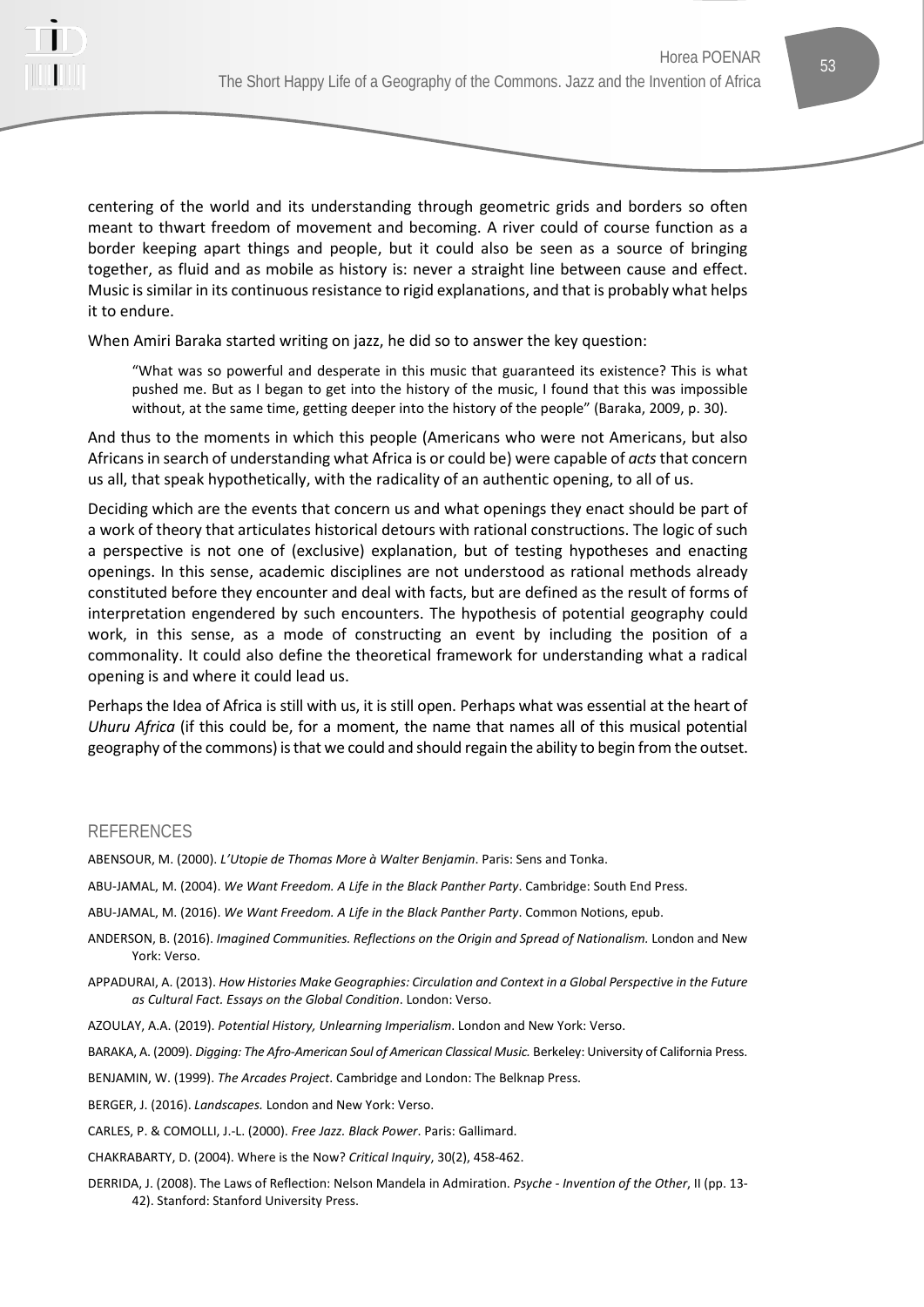

centering of the world and its understanding through geometric grids and borders so often meant to thwart freedom of movement and becoming. A river could of course function as a border keeping apart things and people, but it could also be seen as a source of bringing together, as fluid and as mobile as history is: never a straight line between cause and effect. Music is similar in its continuous resistance to rigid explanations, and that is probably what helps

When Amiri Baraka started writing on jazz, he did so to answer the key question:

"What was so powerful and desperate in this music that guaranteed its existence? This is what pushed me. But as I began to get into the history of the music, I found that this was impossible without, at the same time, getting deeper into the history of the people" (Baraka, 2009, p. 30).

And thus to the moments in which this people (Americans who were not Americans, but also Africans in search of understanding what Africa is or could be) were capable of *acts* that concern us all, that speak hypothetically, with the radicality of an authentic opening, to all of us.

Deciding which are the events that concern us and what openings they enact should be part of a work of theory that articulates historical detours with rational constructions. The logic of such a perspective is not one of (exclusive) explanation, but of testing hypotheses and enacting openings. In this sense, academic disciplines are not understood as rational methods already constituted before they encounter and deal with facts, but are defined as the result of forms of interpretation engendered by such encounters. The hypothesis of potential geography could work, in this sense, as a mode of constructing an event by including the position of a commonality. It could also define the theoretical framework for understanding what a radical opening is and where it could lead us.

Perhaps the Idea of Africa is still with us, it is still open. Perhaps what was essential at the heart of *Uhuru Africa* (if this could be, for a moment, the name that names all of this musical potential geography of the commons) is that we could and should regain the ability to begin from the outset.

#### REFERENCES

it to endure.

ABENSOUR, M. (2000). *L'Utopie de Thomas More à Walter Benjamin*. Paris: Sens and Tonka.

ABU-JAMAL, M. (2004). *We Want Freedom. A Life in the Black Panther Party*. Cambridge: South End Press.

ABU-JAMAL, M. (2016). *We Want Freedom. A Life in the Black Panther Party*. Common Notions, epub.

ANDERSON, B. (2016). *Imagined Communities. Reflections on the Origin and Spread of Nationalism.* London and New York: Verso.

APPADURAI, A. (2013). *How Histories Make Geographies: Circulation and Context in a Global Perspective in the Future as Cultural Fact. Essays on the Global Condition*. London: Verso.

AZOULAY, A.A. (2019). *Potential History, Unlearning Imperialism*. London and New York: Verso.

BARAKA, A. (2009). *Digging: The Afro-American Soul of American Classical Music.* Berkeley: University of California Press.

BENJAMIN, W. (1999). *The Arcades Project*. Cambridge and London: The Belknap Press.

BERGER, J. (2016). *Landscapes.* London and New York: Verso.

CARLES, P. & COMOLLI, J.-L. (2000). *Free Jazz. Black Power*. Paris: Gallimard.

CHAKRABARTY, D. (2004). Where is the Now? *Critical Inquiry*, 30(2), 458-462.

DERRIDA, J. (2008). The Laws of Reflection: Nelson Mandela in Admiration. *Psyche - Invention of the Other*, II (pp. 13- 42). Stanford: Stanford University Press.